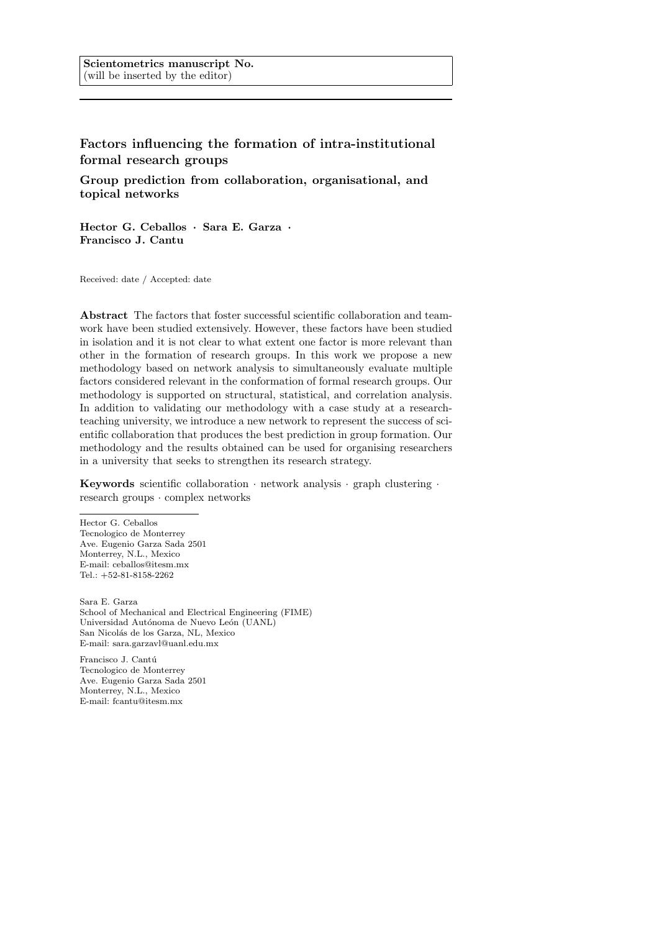# Factors influencing the formation of intra-institutional formal research groups

Group prediction from collaboration, organisational, and topical networks

Hector G. Ceballos · Sara E. Garza · Francisco J. Cantu

Received: date / Accepted: date

Abstract The factors that foster successful scientific collaboration and teamwork have been studied extensively. However, these factors have been studied in isolation and it is not clear to what extent one factor is more relevant than other in the formation of research groups. In this work we propose a new methodology based on network analysis to simultaneously evaluate multiple factors considered relevant in the conformation of formal research groups. Our methodology is supported on structural, statistical, and correlation analysis. In addition to validating our methodology with a case study at a researchteaching university, we introduce a new network to represent the success of scientific collaboration that produces the best prediction in group formation. Our methodology and the results obtained can be used for organising researchers in a university that seeks to strengthen its research strategy.

Keywords scientific collaboration  $\cdot$  network analysis  $\cdot$  graph clustering  $\cdot$ research groups · complex networks

Hector G. Ceballos Tecnologico de Monterrey Ave. Eugenio Garza Sada 2501 Monterrey, N.L., Mexico E-mail: ceballos@itesm.mx Tel.: +52-81-8158-2262

Sara E. Garza School of Mechanical and Electrical Engineering (FIME) Universidad Autónoma de Nuevo León (UANL) San Nicolás de los Garza, NL, Mexico E-mail: sara.garzavl@uanl.edu.mx

Francisco J. Cantú Tecnologico de Monterrey Ave. Eugenio Garza Sada 2501 Monterrey, N.L., Mexico E-mail: fcantu@itesm.mx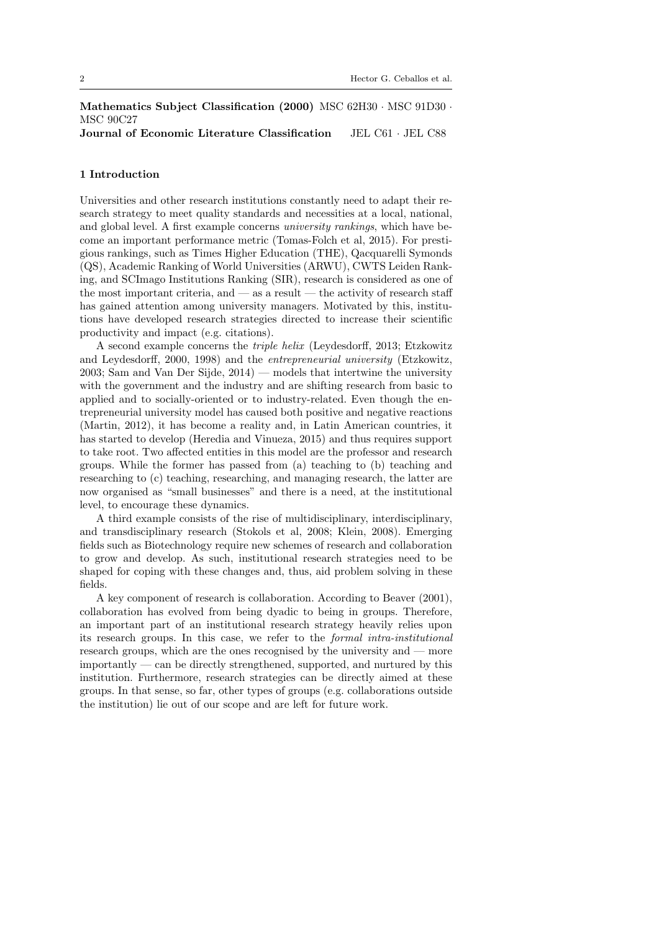Mathematics Subject Classification (2000) MSC 62H30 · MSC 91D30 · MSC 90C27 Journal of Economic Literature Classification JEL C61 · JEL C88

# 1 Introduction

Universities and other research institutions constantly need to adapt their research strategy to meet quality standards and necessities at a local, national, and global level. A first example concerns university rankings, which have become an important performance metric (Tomas-Folch et al, 2015). For prestigious rankings, such as Times Higher Education (THE), Qacquarelli Symonds (QS), Academic Ranking of World Universities (ARWU), CWTS Leiden Ranking, and SCImago Institutions Ranking (SIR), research is considered as one of the most important criteria, and  $-$  as a result  $-$  the activity of research staff has gained attention among university managers. Motivated by this, institutions have developed research strategies directed to increase their scientific productivity and impact (e.g. citations).

A second example concerns the triple helix (Leydesdorff, 2013; Etzkowitz and Leydesdorff, 2000, 1998) and the entrepreneurial university (Etzkowitz, 2003; Sam and Van Der Sijde, 2014) — models that intertwine the university with the government and the industry and are shifting research from basic to applied and to socially-oriented or to industry-related. Even though the entrepreneurial university model has caused both positive and negative reactions (Martin, 2012), it has become a reality and, in Latin American countries, it has started to develop (Heredia and Vinueza, 2015) and thus requires support to take root. Two affected entities in this model are the professor and research groups. While the former has passed from (a) teaching to (b) teaching and researching to (c) teaching, researching, and managing research, the latter are now organised as "small businesses" and there is a need, at the institutional level, to encourage these dynamics.

A third example consists of the rise of multidisciplinary, interdisciplinary, and transdisciplinary research (Stokols et al, 2008; Klein, 2008). Emerging fields such as Biotechnology require new schemes of research and collaboration to grow and develop. As such, institutional research strategies need to be shaped for coping with these changes and, thus, aid problem solving in these fields.

A key component of research is collaboration. According to Beaver (2001), collaboration has evolved from being dyadic to being in groups. Therefore, an important part of an institutional research strategy heavily relies upon its research groups. In this case, we refer to the formal intra-institutional research groups, which are the ones recognised by the university and — more importantly — can be directly strengthened, supported, and nurtured by this institution. Furthermore, research strategies can be directly aimed at these groups. In that sense, so far, other types of groups (e.g. collaborations outside the institution) lie out of our scope and are left for future work.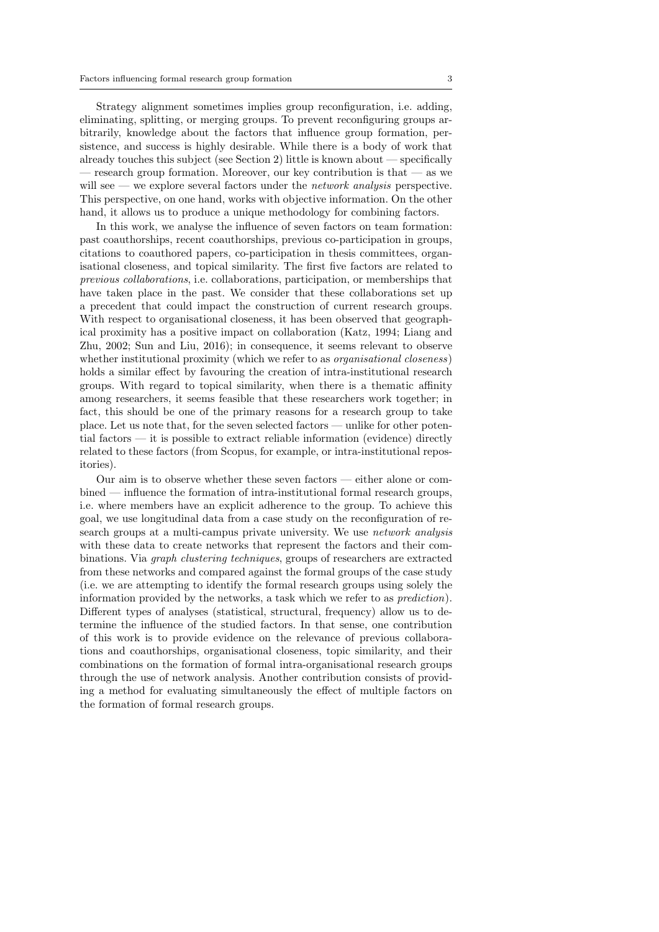Strategy alignment sometimes implies group reconfiguration, i.e. adding, eliminating, splitting, or merging groups. To prevent reconfiguring groups arbitrarily, knowledge about the factors that influence group formation, persistence, and success is highly desirable. While there is a body of work that already touches this subject (see Section 2) little is known about — specifically — research group formation. Moreover, our key contribution is that — as we will see — we explore several factors under the *network analysis* perspective. This perspective, on one hand, works with objective information. On the other hand, it allows us to produce a unique methodology for combining factors.

In this work, we analyse the influence of seven factors on team formation: past coauthorships, recent coauthorships, previous co-participation in groups, citations to coauthored papers, co-participation in thesis committees, organisational closeness, and topical similarity. The first five factors are related to previous collaborations, i.e. collaborations, participation, or memberships that have taken place in the past. We consider that these collaborations set up a precedent that could impact the construction of current research groups. With respect to organisational closeness, it has been observed that geographical proximity has a positive impact on collaboration (Katz, 1994; Liang and Zhu, 2002; Sun and Liu, 2016); in consequence, it seems relevant to observe whether institutional proximity (which we refer to as *organisational closeness*) holds a similar effect by favouring the creation of intra-institutional research groups. With regard to topical similarity, when there is a thematic affinity among researchers, it seems feasible that these researchers work together; in fact, this should be one of the primary reasons for a research group to take place. Let us note that, for the seven selected factors — unlike for other potential factors — it is possible to extract reliable information (evidence) directly related to these factors (from Scopus, for example, or intra-institutional repositories).

Our aim is to observe whether these seven factors — either alone or combined — influence the formation of intra-institutional formal research groups, i.e. where members have an explicit adherence to the group. To achieve this goal, we use longitudinal data from a case study on the reconfiguration of research groups at a multi-campus private university. We use network analysis with these data to create networks that represent the factors and their combinations. Via graph clustering techniques, groups of researchers are extracted from these networks and compared against the formal groups of the case study (i.e. we are attempting to identify the formal research groups using solely the information provided by the networks, a task which we refer to as prediction). Different types of analyses (statistical, structural, frequency) allow us to determine the influence of the studied factors. In that sense, one contribution of this work is to provide evidence on the relevance of previous collaborations and coauthorships, organisational closeness, topic similarity, and their combinations on the formation of formal intra-organisational research groups through the use of network analysis. Another contribution consists of providing a method for evaluating simultaneously the effect of multiple factors on the formation of formal research groups.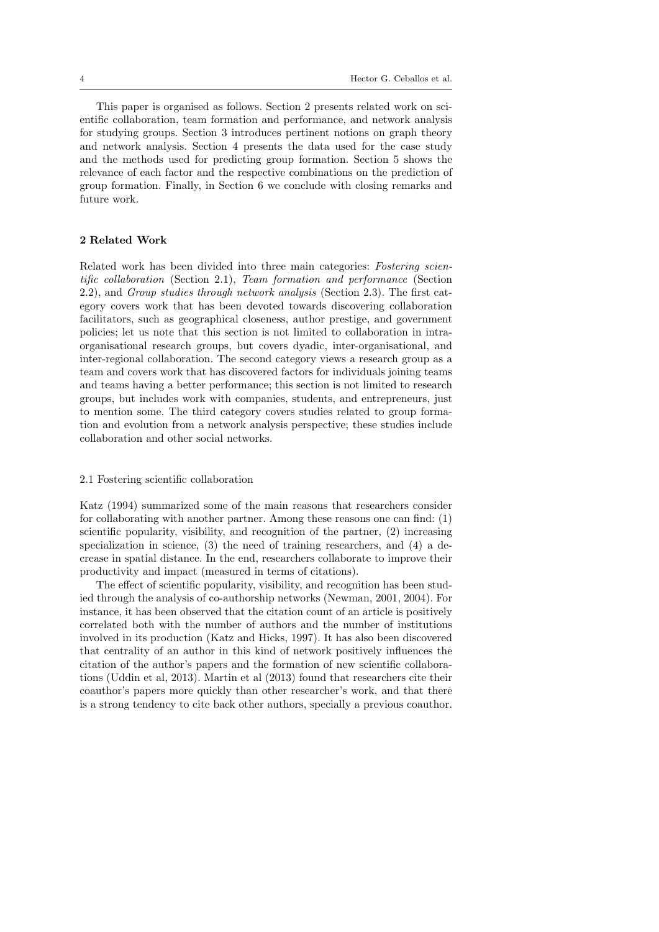This paper is organised as follows. Section 2 presents related work on scientific collaboration, team formation and performance, and network analysis for studying groups. Section 3 introduces pertinent notions on graph theory and network analysis. Section 4 presents the data used for the case study and the methods used for predicting group formation. Section 5 shows the relevance of each factor and the respective combinations on the prediction of group formation. Finally, in Section 6 we conclude with closing remarks and future work.

#### 2 Related Work

Related work has been divided into three main categories: Fostering scientific collaboration (Section 2.1), Team formation and performance (Section 2.2), and Group studies through network analysis (Section 2.3). The first category covers work that has been devoted towards discovering collaboration facilitators, such as geographical closeness, author prestige, and government policies; let us note that this section is not limited to collaboration in intraorganisational research groups, but covers dyadic, inter-organisational, and inter-regional collaboration. The second category views a research group as a team and covers work that has discovered factors for individuals joining teams and teams having a better performance; this section is not limited to research groups, but includes work with companies, students, and entrepreneurs, just to mention some. The third category covers studies related to group formation and evolution from a network analysis perspective; these studies include collaboration and other social networks.

#### 2.1 Fostering scientific collaboration

Katz (1994) summarized some of the main reasons that researchers consider for collaborating with another partner. Among these reasons one can find: (1) scientific popularity, visibility, and recognition of the partner, (2) increasing specialization in science,  $(3)$  the need of training researchers, and  $(4)$  a decrease in spatial distance. In the end, researchers collaborate to improve their productivity and impact (measured in terms of citations).

The effect of scientific popularity, visibility, and recognition has been studied through the analysis of co-authorship networks (Newman, 2001, 2004). For instance, it has been observed that the citation count of an article is positively correlated both with the number of authors and the number of institutions involved in its production (Katz and Hicks, 1997). It has also been discovered that centrality of an author in this kind of network positively influences the citation of the author's papers and the formation of new scientific collaborations (Uddin et al, 2013). Martin et al (2013) found that researchers cite their coauthor's papers more quickly than other researcher's work, and that there is a strong tendency to cite back other authors, specially a previous coauthor.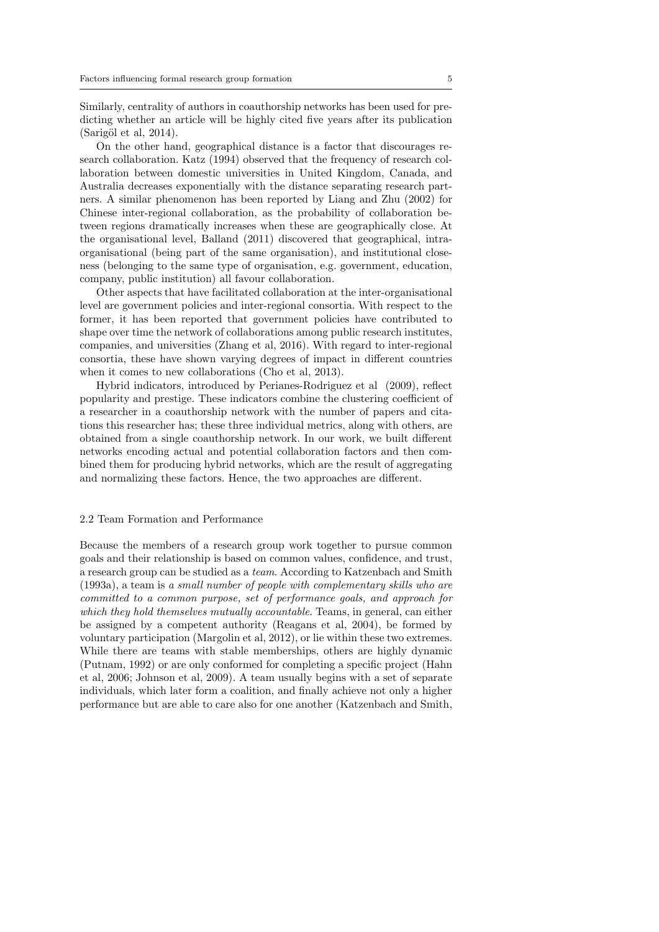Similarly, centrality of authors in coauthorship networks has been used for predicting whether an article will be highly cited five years after its publication  $(Sarigöl et al, 2014).$ 

On the other hand, geographical distance is a factor that discourages research collaboration. Katz (1994) observed that the frequency of research collaboration between domestic universities in United Kingdom, Canada, and Australia decreases exponentially with the distance separating research partners. A similar phenomenon has been reported by Liang and Zhu (2002) for Chinese inter-regional collaboration, as the probability of collaboration between regions dramatically increases when these are geographically close. At the organisational level, Balland (2011) discovered that geographical, intraorganisational (being part of the same organisation), and institutional closeness (belonging to the same type of organisation, e.g. government, education, company, public institution) all favour collaboration.

Other aspects that have facilitated collaboration at the inter-organisational level are government policies and inter-regional consortia. With respect to the former, it has been reported that government policies have contributed to shape over time the network of collaborations among public research institutes, companies, and universities (Zhang et al, 2016). With regard to inter-regional consortia, these have shown varying degrees of impact in different countries when it comes to new collaborations (Cho et al, 2013).

Hybrid indicators, introduced by Perianes-Rodriguez et al (2009), reflect popularity and prestige. These indicators combine the clustering coefficient of a researcher in a coauthorship network with the number of papers and citations this researcher has; these three individual metrics, along with others, are obtained from a single coauthorship network. In our work, we built different networks encoding actual and potential collaboration factors and then combined them for producing hybrid networks, which are the result of aggregating and normalizing these factors. Hence, the two approaches are different.

#### 2.2 Team Formation and Performance

Because the members of a research group work together to pursue common goals and their relationship is based on common values, confidence, and trust, a research group can be studied as a team. According to Katzenbach and Smith (1993a), a team is a small number of people with complementary skills who are committed to a common purpose, set of performance goals, and approach for which they hold themselves mutually accountable. Teams, in general, can either be assigned by a competent authority (Reagans et al, 2004), be formed by voluntary participation (Margolin et al, 2012), or lie within these two extremes. While there are teams with stable memberships, others are highly dynamic (Putnam, 1992) or are only conformed for completing a specific project (Hahn et al, 2006; Johnson et al, 2009). A team usually begins with a set of separate individuals, which later form a coalition, and finally achieve not only a higher performance but are able to care also for one another (Katzenbach and Smith,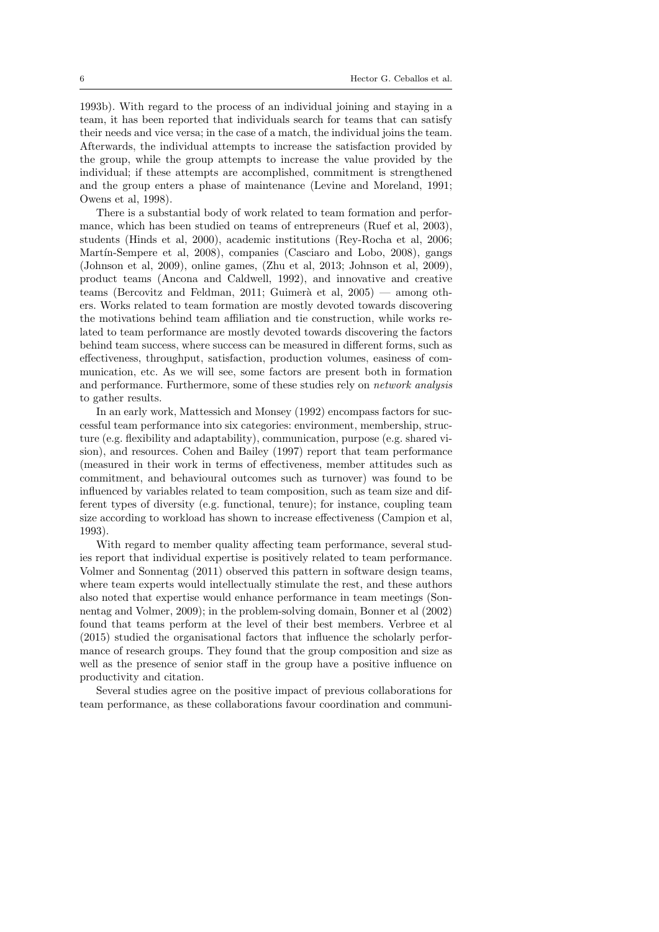1993b). With regard to the process of an individual joining and staying in a team, it has been reported that individuals search for teams that can satisfy their needs and vice versa; in the case of a match, the individual joins the team. Afterwards, the individual attempts to increase the satisfaction provided by the group, while the group attempts to increase the value provided by the individual; if these attempts are accomplished, commitment is strengthened and the group enters a phase of maintenance (Levine and Moreland, 1991; Owens et al, 1998).

There is a substantial body of work related to team formation and performance, which has been studied on teams of entrepreneurs (Ruef et al, 2003), students (Hinds et al, 2000), academic institutions (Rey-Rocha et al, 2006; Martín-Sempere et al, 2008), companies (Casciaro and Lobo, 2008), gangs (Johnson et al, 2009), online games, (Zhu et al, 2013; Johnson et al, 2009), product teams (Ancona and Caldwell, 1992), and innovative and creative teams (Bercovitz and Feldman, 2011; Guimerà et al,  $2005$ ) — among others. Works related to team formation are mostly devoted towards discovering the motivations behind team affiliation and tie construction, while works related to team performance are mostly devoted towards discovering the factors behind team success, where success can be measured in different forms, such as effectiveness, throughput, satisfaction, production volumes, easiness of communication, etc. As we will see, some factors are present both in formation and performance. Furthermore, some of these studies rely on network analysis to gather results.

In an early work, Mattessich and Monsey (1992) encompass factors for successful team performance into six categories: environment, membership, structure (e.g. flexibility and adaptability), communication, purpose (e.g. shared vision), and resources. Cohen and Bailey (1997) report that team performance (measured in their work in terms of effectiveness, member attitudes such as commitment, and behavioural outcomes such as turnover) was found to be influenced by variables related to team composition, such as team size and different types of diversity (e.g. functional, tenure); for instance, coupling team size according to workload has shown to increase effectiveness (Campion et al, 1993).

With regard to member quality affecting team performance, several studies report that individual expertise is positively related to team performance. Volmer and Sonnentag (2011) observed this pattern in software design teams, where team experts would intellectually stimulate the rest, and these authors also noted that expertise would enhance performance in team meetings (Sonnentag and Volmer, 2009); in the problem-solving domain, Bonner et al (2002) found that teams perform at the level of their best members. Verbree et al (2015) studied the organisational factors that influence the scholarly performance of research groups. They found that the group composition and size as well as the presence of senior staff in the group have a positive influence on productivity and citation.

Several studies agree on the positive impact of previous collaborations for team performance, as these collaborations favour coordination and communi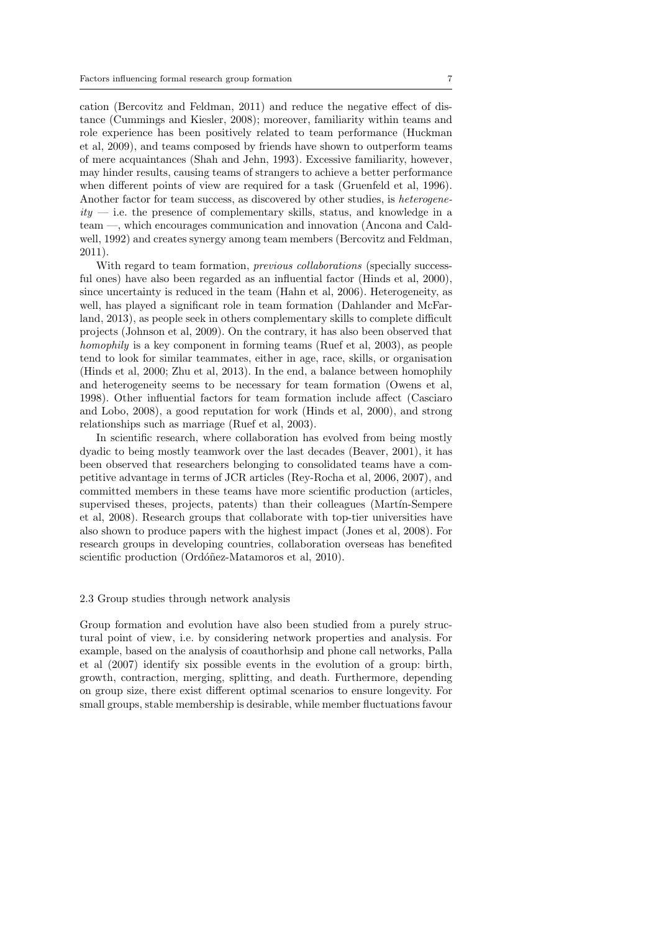cation (Bercovitz and Feldman, 2011) and reduce the negative effect of distance (Cummings and Kiesler, 2008); moreover, familiarity within teams and role experience has been positively related to team performance (Huckman et al, 2009), and teams composed by friends have shown to outperform teams of mere acquaintances (Shah and Jehn, 1993). Excessive familiarity, however, may hinder results, causing teams of strangers to achieve a better performance when different points of view are required for a task (Gruenfeld et al, 1996). Another factor for team success, as discovered by other studies, is heterogene $ity$  — i.e. the presence of complementary skills, status, and knowledge in a team —, which encourages communication and innovation (Ancona and Caldwell, 1992) and creates synergy among team members (Bercovitz and Feldman, 2011).

With regard to team formation, *previous collaborations* (specially successful ones) have also been regarded as an influential factor (Hinds et al, 2000), since uncertainty is reduced in the team (Hahn et al, 2006). Heterogeneity, as well, has played a significant role in team formation (Dahlander and McFarland, 2013), as people seek in others complementary skills to complete difficult projects (Johnson et al, 2009). On the contrary, it has also been observed that homophily is a key component in forming teams (Ruef et al, 2003), as people tend to look for similar teammates, either in age, race, skills, or organisation (Hinds et al, 2000; Zhu et al, 2013). In the end, a balance between homophily and heterogeneity seems to be necessary for team formation (Owens et al, 1998). Other influential factors for team formation include affect (Casciaro and Lobo, 2008), a good reputation for work (Hinds et al, 2000), and strong relationships such as marriage (Ruef et al, 2003).

In scientific research, where collaboration has evolved from being mostly dyadic to being mostly teamwork over the last decades (Beaver, 2001), it has been observed that researchers belonging to consolidated teams have a competitive advantage in terms of JCR articles (Rey-Rocha et al, 2006, 2007), and committed members in these teams have more scientific production (articles, supervised theses, projects, patents) than their colleagues (Martín-Sempere et al, 2008). Research groups that collaborate with top-tier universities have also shown to produce papers with the highest impact (Jones et al, 2008). For research groups in developing countries, collaboration overseas has benefited scientific production (Ordóñez-Matamoros et al, 2010).

# 2.3 Group studies through network analysis

Group formation and evolution have also been studied from a purely structural point of view, i.e. by considering network properties and analysis. For example, based on the analysis of coauthorhsip and phone call networks, Palla et al (2007) identify six possible events in the evolution of a group: birth, growth, contraction, merging, splitting, and death. Furthermore, depending on group size, there exist different optimal scenarios to ensure longevity. For small groups, stable membership is desirable, while member fluctuations favour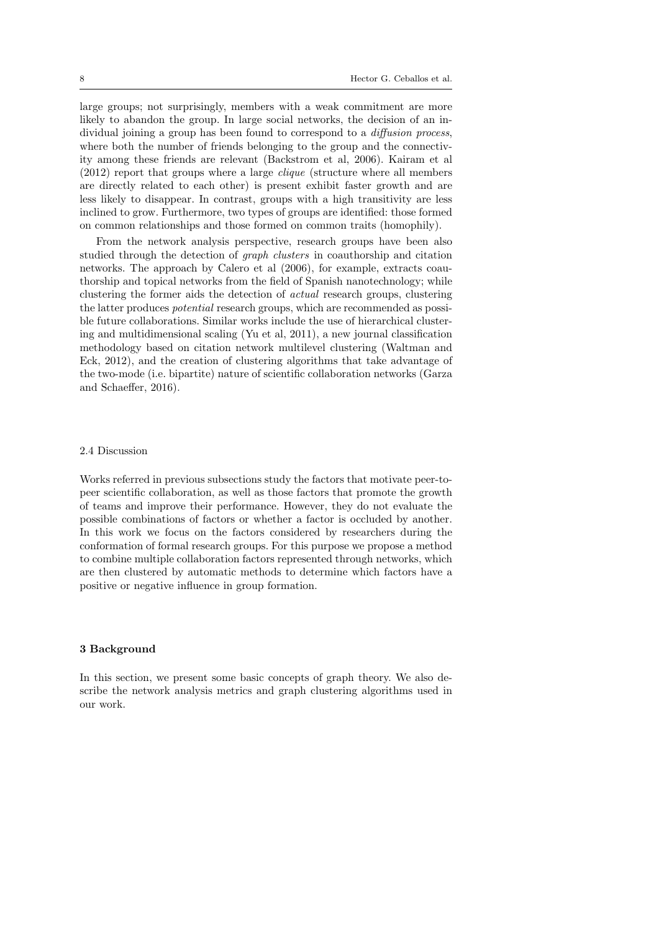large groups; not surprisingly, members with a weak commitment are more likely to abandon the group. In large social networks, the decision of an individual joining a group has been found to correspond to a diffusion process, where both the number of friends belonging to the group and the connectivity among these friends are relevant (Backstrom et al, 2006). Kairam et al (2012) report that groups where a large clique (structure where all members are directly related to each other) is present exhibit faster growth and are less likely to disappear. In contrast, groups with a high transitivity are less inclined to grow. Furthermore, two types of groups are identified: those formed on common relationships and those formed on common traits (homophily).

From the network analysis perspective, research groups have been also studied through the detection of graph clusters in coauthorship and citation networks. The approach by Calero et al (2006), for example, extracts coauthorship and topical networks from the field of Spanish nanotechnology; while clustering the former aids the detection of actual research groups, clustering the latter produces potential research groups, which are recommended as possible future collaborations. Similar works include the use of hierarchical clustering and multidimensional scaling (Yu et al, 2011), a new journal classification methodology based on citation network multilevel clustering (Waltman and Eck, 2012), and the creation of clustering algorithms that take advantage of the two-mode (i.e. bipartite) nature of scientific collaboration networks (Garza and Schaeffer, 2016).

#### 2.4 Discussion

Works referred in previous subsections study the factors that motivate peer-topeer scientific collaboration, as well as those factors that promote the growth of teams and improve their performance. However, they do not evaluate the possible combinations of factors or whether a factor is occluded by another. In this work we focus on the factors considered by researchers during the conformation of formal research groups. For this purpose we propose a method to combine multiple collaboration factors represented through networks, which are then clustered by automatic methods to determine which factors have a positive or negative influence in group formation.

## 3 Background

In this section, we present some basic concepts of graph theory. We also describe the network analysis metrics and graph clustering algorithms used in our work.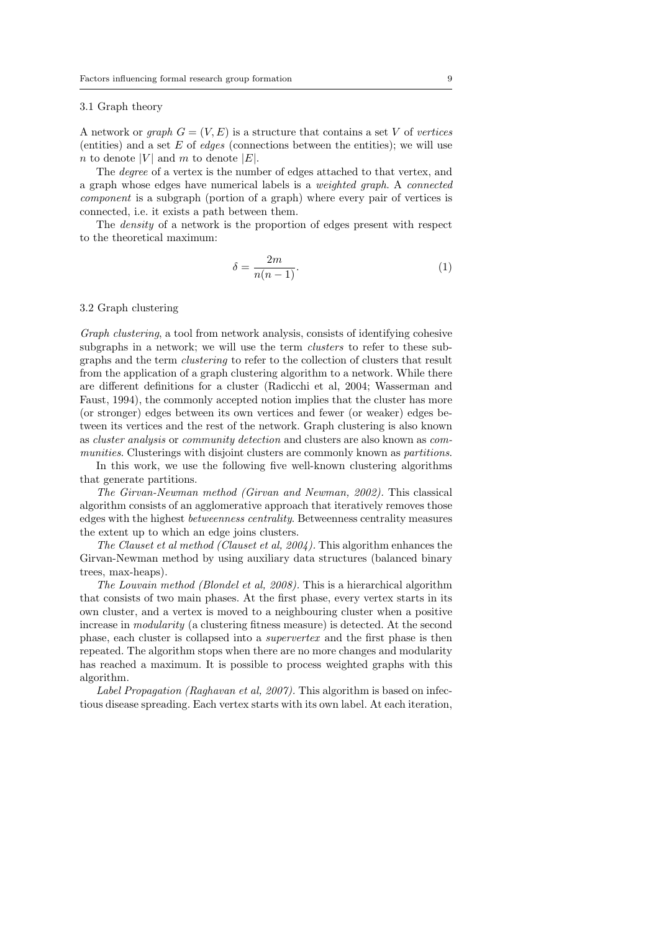#### 3.1 Graph theory

A network or *graph*  $G = (V, E)$  is a structure that contains a set V of vertices (entities) and a set  $E$  of *edges* (connections between the entities); we will use n to denote |V| and m to denote  $|E|$ .

The degree of a vertex is the number of edges attached to that vertex, and a graph whose edges have numerical labels is a weighted graph. A connected component is a subgraph (portion of a graph) where every pair of vertices is connected, i.e. it exists a path between them.

The density of a network is the proportion of edges present with respect to the theoretical maximum:

$$
\delta = \frac{2m}{n(n-1)}.\tag{1}
$$

#### 3.2 Graph clustering

Graph clustering, a tool from network analysis, consists of identifying cohesive subgraphs in a network; we will use the term *clusters* to refer to these subgraphs and the term clustering to refer to the collection of clusters that result from the application of a graph clustering algorithm to a network. While there are different definitions for a cluster (Radicchi et al, 2004; Wasserman and Faust, 1994), the commonly accepted notion implies that the cluster has more (or stronger) edges between its own vertices and fewer (or weaker) edges between its vertices and the rest of the network. Graph clustering is also known as cluster analysis or community detection and clusters are also known as communities. Clusterings with disjoint clusters are commonly known as partitions.

In this work, we use the following five well-known clustering algorithms that generate partitions.

The Girvan-Newman method (Girvan and Newman, 2002). This classical algorithm consists of an agglomerative approach that iteratively removes those edges with the highest betweenness centrality. Betweenness centrality measures the extent up to which an edge joins clusters.

The Clauset et al method (Clauset et al, 2004). This algorithm enhances the Girvan-Newman method by using auxiliary data structures (balanced binary trees, max-heaps).

The Louvain method (Blondel et al, 2008). This is a hierarchical algorithm that consists of two main phases. At the first phase, every vertex starts in its own cluster, and a vertex is moved to a neighbouring cluster when a positive increase in modularity (a clustering fitness measure) is detected. At the second phase, each cluster is collapsed into a supervertex and the first phase is then repeated. The algorithm stops when there are no more changes and modularity has reached a maximum. It is possible to process weighted graphs with this algorithm.

Label Propagation (Raghavan et al, 2007). This algorithm is based on infectious disease spreading. Each vertex starts with its own label. At each iteration,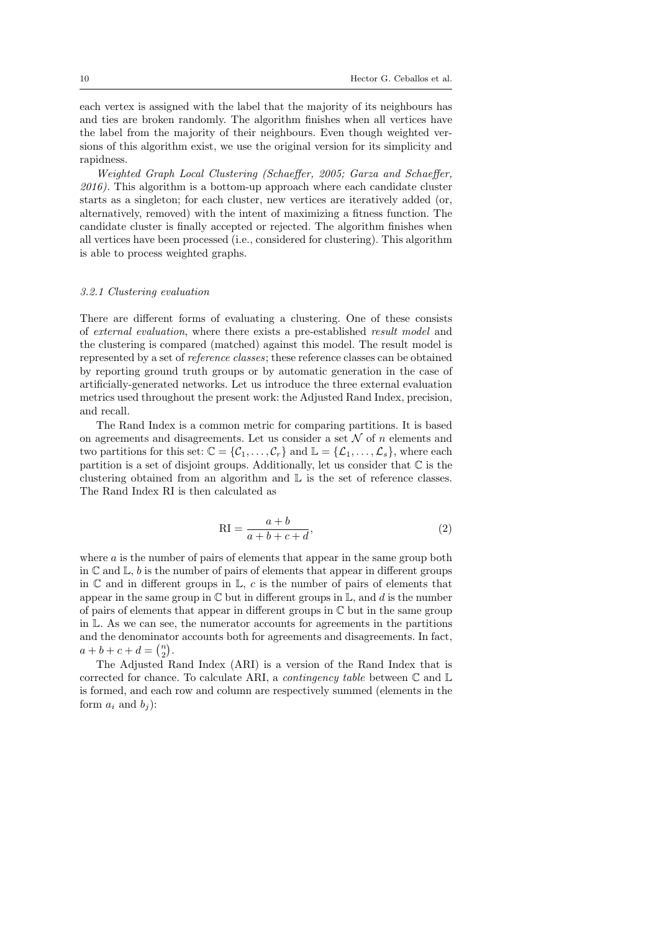each vertex is assigned with the label that the majority of its neighbours has and ties are broken randomly. The algorithm finishes when all vertices have the label from the majority of their neighbours. Even though weighted versions of this algorithm exist, we use the original version for its simplicity and rapidness.

Weighted Graph Local Clustering (Schaeffer, 2005; Garza and Schaeffer, 2016). This algorithm is a bottom-up approach where each candidate cluster starts as a singleton; for each cluster, new vertices are iteratively added (or, alternatively, removed) with the intent of maximizing a fitness function. The candidate cluster is finally accepted or rejected. The algorithm finishes when all vertices have been processed (i.e., considered for clustering). This algorithm is able to process weighted graphs.

#### 3.2.1 Clustering evaluation

There are different forms of evaluating a clustering. One of these consists of external evaluation, where there exists a pre-established result model and the clustering is compared (matched) against this model. The result model is represented by a set of reference classes; these reference classes can be obtained by reporting ground truth groups or by automatic generation in the case of artificially-generated networks. Let us introduce the three external evaluation metrics used throughout the present work: the Adjusted Rand Index, precision, and recall.

The Rand Index is a common metric for comparing partitions. It is based on agreements and disagreements. Let us consider a set  $\mathcal N$  of n elements and two partitions for this set:  $\mathbb{C} = {\mathcal{C}_1, \ldots, \mathcal{C}_r}$  and  $\mathbb{L} = {\mathcal{L}_1, \ldots, \mathcal{L}_s}$ , where each partition is a set of disjoint groups. Additionally, let us consider that  $\mathbb C$  is the clustering obtained from an algorithm and L is the set of reference classes. The Rand Index RI is then calculated as

$$
RI = \frac{a+b}{a+b+c+d},\tag{2}
$$

where  $\alpha$  is the number of pairs of elements that appear in the same group both in  $\mathbb C$  and  $\mathbb L$ , b is the number of pairs of elements that appear in different groups in  $\mathbb C$  and in different groups in  $\mathbb L$ , c is the number of pairs of elements that appear in the same group in  $\mathbb C$  but in different groups in  $\mathbb L$ , and d is the number of pairs of elements that appear in different groups in  $\mathbb C$  but in the same group in L. As we can see, the numerator accounts for agreements in the partitions and the denominator accounts both for agreements and disagreements. In fact,  $a + b + c + d = {n \choose 2}.$ 

The Adjusted Rand Index (ARI) is a version of the Rand Index that is corrected for chance. To calculate ARI, a *contingency table* between  $\mathbb C$  and  $\mathbb L$ is formed, and each row and column are respectively summed (elements in the form  $a_i$  and  $b_j$ :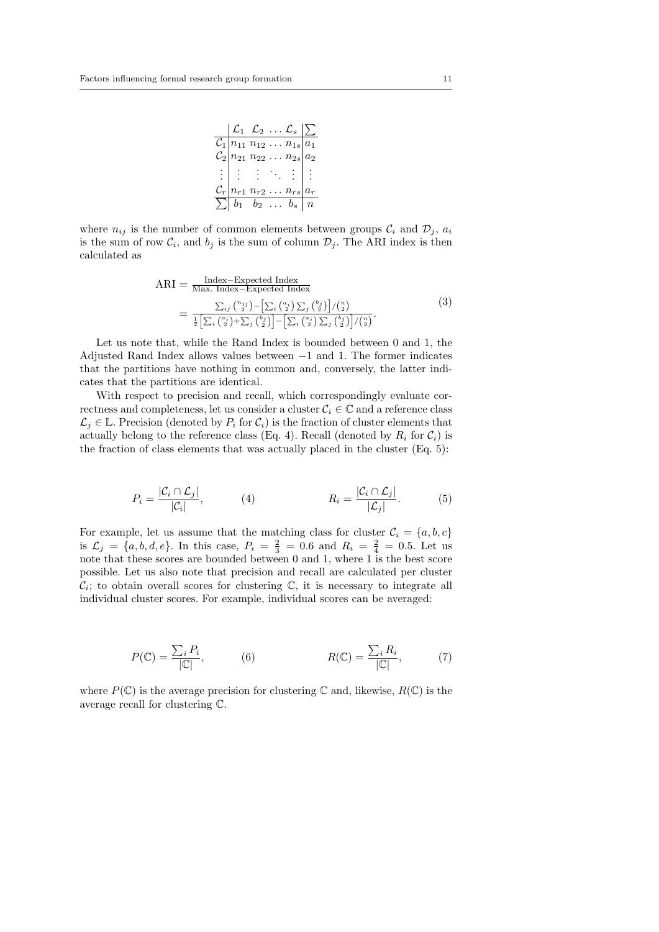|  |  | $\begin{array}{ c c c }\hline \mathcal{L}_1 & \mathcal{L}_2 & \ldots \ \mathcal{L}_s & \hline \end{array} \begin{array}{ c c c }\hline \begin{array}{ccc} \mathcal{L}_1 & \mathcal{L}_2 & \ldots & \mathcal{L}_s \end{array} & \begin{array}{ c c c }\hline \end{array} \end{array}$ |  |
|--|--|--------------------------------------------------------------------------------------------------------------------------------------------------------------------------------------------------------------------------------------------------------------------------------------|--|
|  |  |                                                                                                                                                                                                                                                                                      |  |
|  |  | $\frac{C_1}{C_2}\begin{vmatrix} n_{11} & n_{12} & \ldots & n_{1s} \\ n_{21} & n_{22} & \ldots & n_{2s} \end{vmatrix} a_1$                                                                                                                                                            |  |
|  |  | $\mathbb{H}$ : $\mathbb{H} \times \mathbb{H}$ :                                                                                                                                                                                                                                      |  |
|  |  | $\mathcal{C}_r\big n_{r1}\;n_{r2}\;\;n_{rs}\big a_r$                                                                                                                                                                                                                                 |  |
|  |  | $\sum  b_1 \quad b_2 \quad \dots \quad b_s \mid n$                                                                                                                                                                                                                                   |  |

where  $n_{ij}$  is the number of common elements between groups  $\mathcal{C}_i$  and  $\mathcal{D}_j$ ,  $a_i$ is the sum of row  $\mathcal{C}_i$ , and  $b_j$  is the sum of column  $\mathcal{D}_j$ . The ARI index is then calculated as

$$
ARI = \frac{\text{Index} - \text{Expected Index}}{\text{Max. Index} - \text{Expected Index}}\n= \frac{\sum_{ij} \binom{n_{ij}}{2} - \left[\sum_{i} \binom{a_i}{2} \sum_{j} \binom{b_j}{2}\right] / \binom{n}{2}}{\frac{1}{2} \left[\sum_{i} \binom{a_i}{2} + \sum_{j} \binom{b_j}{2}\right] - \left[\sum_{i} \binom{a_i}{2} \sum_{j} \binom{b_j}{2}\right] / \binom{n}{2}}.
$$
\n(3)

Let us note that, while the Rand Index is bounded between 0 and 1, the Adjusted Rand Index allows values between −1 and 1. The former indicates that the partitions have nothing in common and, conversely, the latter indicates that the partitions are identical.

With respect to precision and recall, which correspondingly evaluate correctness and completeness, let us consider a cluster  $C_i \in \mathbb{C}$  and a reference class  $\mathcal{L}_j \in \mathbb{L}$ . Precision (denoted by  $P_i$  for  $\mathcal{C}_i$ ) is the fraction of cluster elements that actually belong to the reference class (Eq. 4). Recall (denoted by  $R_i$  for  $C_i$ ) is the fraction of class elements that was actually placed in the cluster (Eq. 5):

$$
P_i = \frac{|C_i \cap \mathcal{L}_j|}{|C_i|}, \qquad (4) \qquad R_i = \frac{|C_i \cap \mathcal{L}_j|}{|\mathcal{L}_j|}. \qquad (5)
$$

For example, let us assume that the matching class for cluster  $C_i = \{a, b, c\}$ is  $\mathcal{L}_j = \{a, b, d, e\}$ . In this case,  $P_i = \frac{2}{3} = 0.6$  and  $R_i = \frac{2}{4} = 0.5$ . Let us note that these scores are bounded between 0 and 1, where 1 is the best score possible. Let us also note that precision and recall are calculated per cluster  $\mathcal{C}_i$ ; to obtain overall scores for clustering  $\mathbb{C}$ , it is necessary to integrate all individual cluster scores. For example, individual scores can be averaged:

$$
P(\mathbb{C}) = \frac{\sum_{i} P_i}{|\mathbb{C}|}, \quad (6) \quad R(\mathbb{C}) = \frac{\sum_{i} R_i}{|\mathbb{C}|}, \quad (7)
$$

where  $P(\mathbb{C})$  is the average precision for clustering  $\mathbb{C}$  and, likewise,  $R(\mathbb{C})$  is the average recall for clustering C.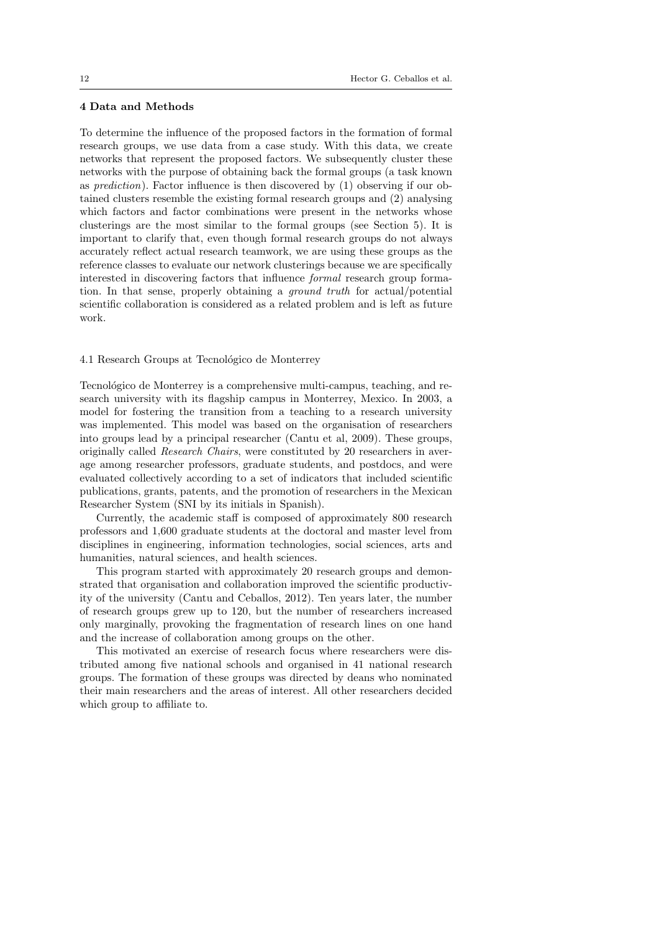# 4 Data and Methods

To determine the influence of the proposed factors in the formation of formal research groups, we use data from a case study. With this data, we create networks that represent the proposed factors. We subsequently cluster these networks with the purpose of obtaining back the formal groups (a task known as prediction). Factor influence is then discovered by (1) observing if our obtained clusters resemble the existing formal research groups and (2) analysing which factors and factor combinations were present in the networks whose clusterings are the most similar to the formal groups (see Section 5). It is important to clarify that, even though formal research groups do not always accurately reflect actual research teamwork, we are using these groups as the reference classes to evaluate our network clusterings because we are specifically interested in discovering factors that influence formal research group formation. In that sense, properly obtaining a ground truth for actual/potential scientific collaboration is considered as a related problem and is left as future work.

# 4.1 Research Groups at Tecnológico de Monterrey

Tecnológico de Monterrey is a comprehensive multi-campus, teaching, and research university with its flagship campus in Monterrey, Mexico. In 2003, a model for fostering the transition from a teaching to a research university was implemented. This model was based on the organisation of researchers into groups lead by a principal researcher (Cantu et al, 2009). These groups, originally called Research Chairs, were constituted by 20 researchers in average among researcher professors, graduate students, and postdocs, and were evaluated collectively according to a set of indicators that included scientific publications, grants, patents, and the promotion of researchers in the Mexican Researcher System (SNI by its initials in Spanish).

Currently, the academic staff is composed of approximately 800 research professors and 1,600 graduate students at the doctoral and master level from disciplines in engineering, information technologies, social sciences, arts and humanities, natural sciences, and health sciences.

This program started with approximately 20 research groups and demonstrated that organisation and collaboration improved the scientific productivity of the university (Cantu and Ceballos, 2012). Ten years later, the number of research groups grew up to 120, but the number of researchers increased only marginally, provoking the fragmentation of research lines on one hand and the increase of collaboration among groups on the other.

This motivated an exercise of research focus where researchers were distributed among five national schools and organised in 41 national research groups. The formation of these groups was directed by deans who nominated their main researchers and the areas of interest. All other researchers decided which group to affiliate to.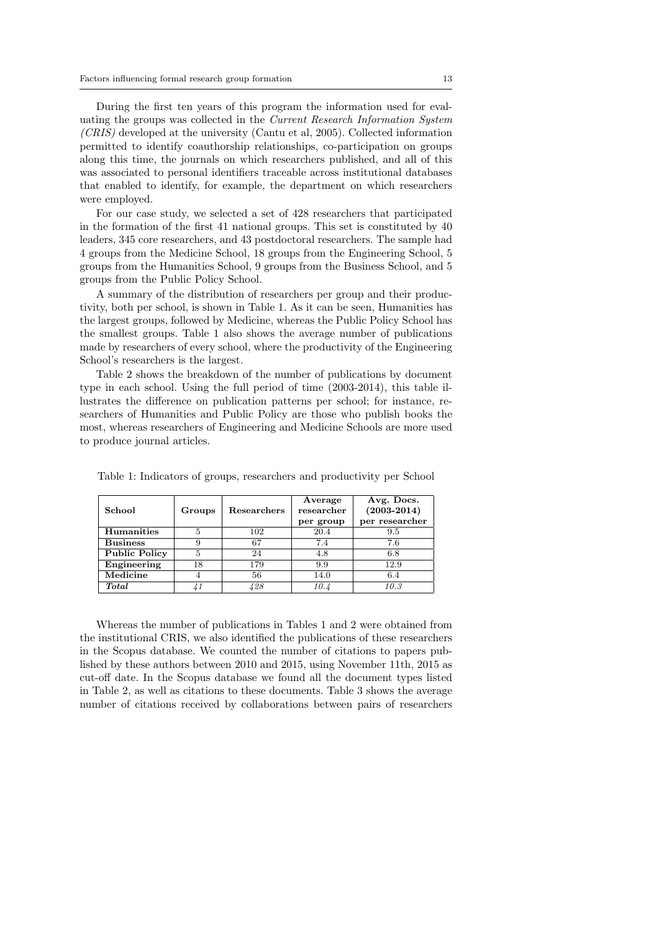During the first ten years of this program the information used for evaluating the groups was collected in the Current Research Information System (CRIS) developed at the university (Cantu et al, 2005). Collected information permitted to identify coauthorship relationships, co-participation on groups along this time, the journals on which researchers published, and all of this was associated to personal identifiers traceable across institutional databases that enabled to identify, for example, the department on which researchers were employed.

For our case study, we selected a set of 428 researchers that participated in the formation of the first 41 national groups. This set is constituted by 40 leaders, 345 core researchers, and 43 postdoctoral researchers. The sample had 4 groups from the Medicine School, 18 groups from the Engineering School, 5 groups from the Humanities School, 9 groups from the Business School, and 5 groups from the Public Policy School.

A summary of the distribution of researchers per group and their productivity, both per school, is shown in Table 1. As it can be seen, Humanities has the largest groups, followed by Medicine, whereas the Public Policy School has the smallest groups. Table 1 also shows the average number of publications made by researchers of every school, where the productivity of the Engineering School's researchers is the largest.

Table 2 shows the breakdown of the number of publications by document type in each school. Using the full period of time (2003-2014), this table illustrates the difference on publication patterns per school; for instance, researchers of Humanities and Public Policy are those who publish books the most, whereas researchers of Engineering and Medicine Schools are more used to produce journal articles.

| School               | Groups | <b>Researchers</b> | Average<br>researcher<br>per group | Avg. Docs.<br>$(2003 - 2014)$<br>per researcher |
|----------------------|--------|--------------------|------------------------------------|-------------------------------------------------|
| <b>Humanities</b>    | 5      | 102                | 20.4                               | 9.5                                             |
| <b>Business</b>      | 9      | 67                 | 7.4                                | 7.6                                             |
| <b>Public Policy</b> | 5      | 24                 | 4.8                                | 6.8                                             |
| Engineering          | 18     | 179                | 9.9                                | 12.9                                            |
| Medicine             |        | 56                 | 14.0                               | 6.4                                             |
| <b>Total</b>         |        | 428                | 10.4                               | 10.3                                            |

Table 1: Indicators of groups, researchers and productivity per School

Whereas the number of publications in Tables 1 and 2 were obtained from the institutional CRIS, we also identified the publications of these researchers in the Scopus database. We counted the number of citations to papers published by these authors between 2010 and 2015, using November 11th, 2015 as cut-off date. In the Scopus database we found all the document types listed in Table 2, as well as citations to these documents. Table 3 shows the average number of citations received by collaborations between pairs of researchers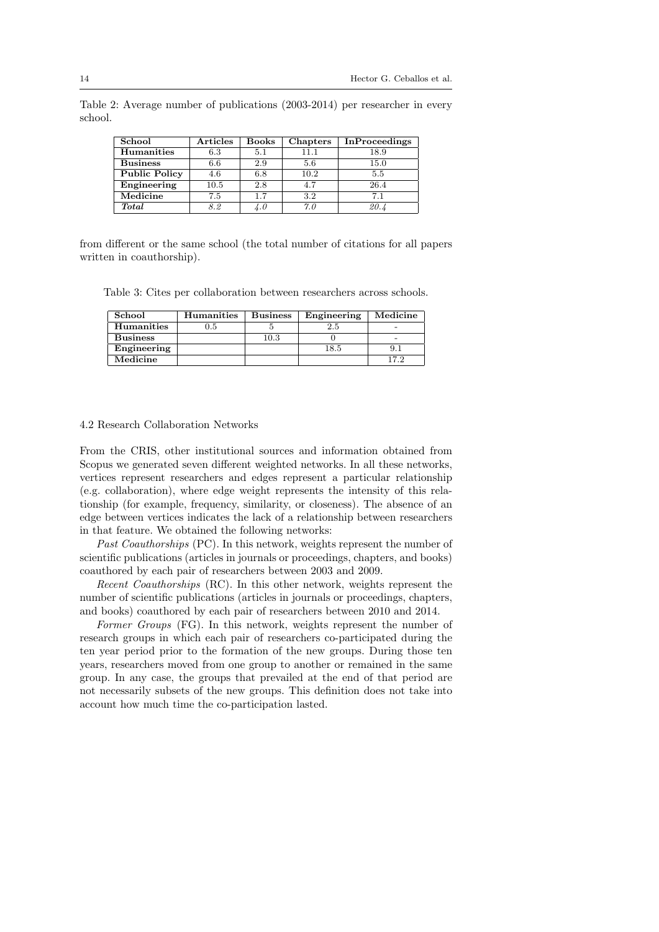| School               | $\operatorname{\bf Articles}$ | <b>Books</b> | Chapters | <b>InProceedings</b> |
|----------------------|-------------------------------|--------------|----------|----------------------|
| Humanities           | 6.3                           | 5.1          | 11.1     | 18.9                 |
| <b>Business</b>      | 6.6                           | 2.9          | 5.6      | 15.0                 |
| <b>Public Policy</b> | 4.6                           | 6.8          | 10.2     | 5.5                  |
| Engineering          | 10.5                          | 2.8          | 4.7      | 26.4                 |
| Medicine             | 7.5                           | 1.7          | 3.2      | 7.1                  |
| <b>Total</b>         | 8.2                           | $\lambda$ .0 | 7.0      | 20.4                 |

Table 2: Average number of publications (2003-2014) per researcher in every school.

from different or the same school (the total number of citations for all papers written in coauthorship).

Table 3: Cites per collaboration between researchers across schools.

| School          | <b>Humanities</b> | <b>Business</b> | Engineering | Medicine |
|-----------------|-------------------|-----------------|-------------|----------|
| Humanities      | $\rm 0.5$         |                 | 2.5         |          |
| <b>Business</b> |                   | 10.3            |             |          |
| Engineering     |                   |                 | 18.5        | 9. .     |
| Medicine        |                   |                 |             | 17.2     |

#### 4.2 Research Collaboration Networks

From the CRIS, other institutional sources and information obtained from Scopus we generated seven different weighted networks. In all these networks, vertices represent researchers and edges represent a particular relationship (e.g. collaboration), where edge weight represents the intensity of this relationship (for example, frequency, similarity, or closeness). The absence of an edge between vertices indicates the lack of a relationship between researchers in that feature. We obtained the following networks:

Past Coauthorships (PC). In this network, weights represent the number of scientific publications (articles in journals or proceedings, chapters, and books) coauthored by each pair of researchers between 2003 and 2009.

Recent Coauthorships (RC). In this other network, weights represent the number of scientific publications (articles in journals or proceedings, chapters, and books) coauthored by each pair of researchers between 2010 and 2014.

Former Groups (FG). In this network, weights represent the number of research groups in which each pair of researchers co-participated during the ten year period prior to the formation of the new groups. During those ten years, researchers moved from one group to another or remained in the same group. In any case, the groups that prevailed at the end of that period are not necessarily subsets of the new groups. This definition does not take into account how much time the co-participation lasted.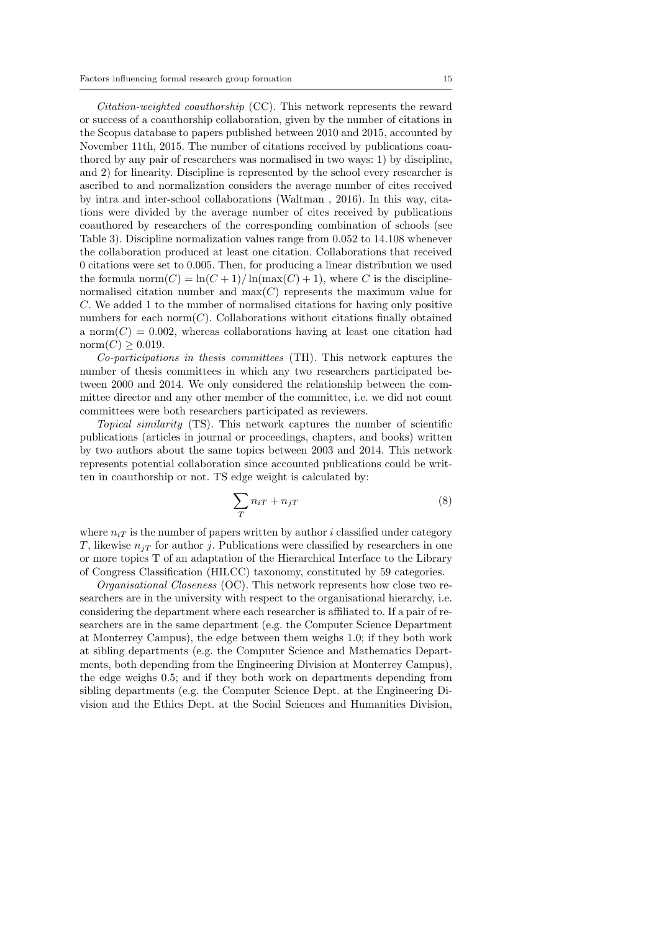Citation-weighted coauthorship (CC). This network represents the reward or success of a coauthorship collaboration, given by the number of citations in the Scopus database to papers published between 2010 and 2015, accounted by November 11th, 2015. The number of citations received by publications coauthored by any pair of researchers was normalised in two ways: 1) by discipline, and 2) for linearity. Discipline is represented by the school every researcher is ascribed to and normalization considers the average number of cites received by intra and inter-school collaborations (Waltman , 2016). In this way, citations were divided by the average number of cites received by publications coauthored by researchers of the corresponding combination of schools (see Table 3). Discipline normalization values range from 0.052 to 14.108 whenever the collaboration produced at least one citation. Collaborations that received 0 citations were set to 0.005. Then, for producing a linear distribution we used the formula norm $(C) = \ln(C + 1)/\ln(\max(C) + 1)$ , where C is the disciplinenormalised citation number and  $max(C)$  represents the maximum value for C. We added 1 to the number of normalised citations for having only positive numbers for each norm $(C)$ . Collaborations without citations finally obtained a norm $(C) = 0.002$ , whereas collaborations having at least one citation had  $norm(C) > 0.019$ .

Co-participations in thesis committees (TH). This network captures the number of thesis committees in which any two researchers participated between 2000 and 2014. We only considered the relationship between the committee director and any other member of the committee, i.e. we did not count committees were both researchers participated as reviewers.

Topical similarity (TS). This network captures the number of scientific publications (articles in journal or proceedings, chapters, and books) written by two authors about the same topics between 2003 and 2014. This network represents potential collaboration since accounted publications could be written in coauthorship or not. TS edge weight is calculated by:

$$
\sum_{T} n_{iT} + n_{jT} \tag{8}
$$

where  $n_{iT}$  is the number of papers written by author i classified under category T, likewise  $n_{iT}$  for author j. Publications were classified by researchers in one or more topics T of an adaptation of the Hierarchical Interface to the Library of Congress Classification (HILCC) taxonomy, constituted by 59 categories.

Organisational Closeness (OC). This network represents how close two researchers are in the university with respect to the organisational hierarchy, i.e. considering the department where each researcher is affiliated to. If a pair of researchers are in the same department (e.g. the Computer Science Department at Monterrey Campus), the edge between them weighs 1.0; if they both work at sibling departments (e.g. the Computer Science and Mathematics Departments, both depending from the Engineering Division at Monterrey Campus), the edge weighs 0.5; and if they both work on departments depending from sibling departments (e.g. the Computer Science Dept. at the Engineering Division and the Ethics Dept. at the Social Sciences and Humanities Division,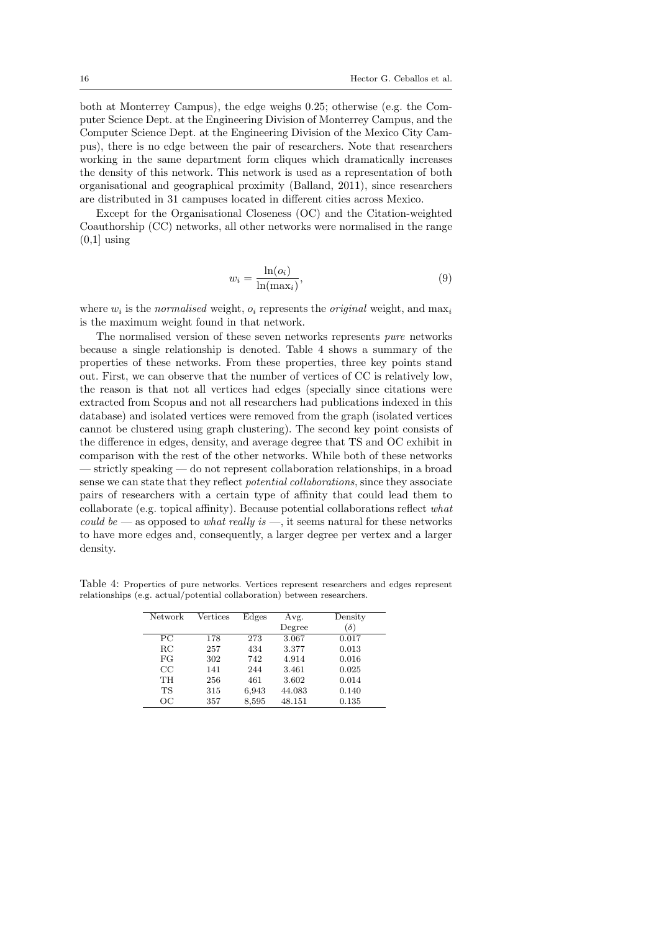both at Monterrey Campus), the edge weighs 0.25; otherwise (e.g. the Computer Science Dept. at the Engineering Division of Monterrey Campus, and the Computer Science Dept. at the Engineering Division of the Mexico City Campus), there is no edge between the pair of researchers. Note that researchers working in the same department form cliques which dramatically increases the density of this network. This network is used as a representation of both organisational and geographical proximity (Balland, 2011), since researchers are distributed in 31 campuses located in different cities across Mexico.

Except for the Organisational Closeness (OC) and the Citation-weighted Coauthorship (CC) networks, all other networks were normalised in the range  $(0.1)$  using

$$
w_i = \frac{\ln(o_i)}{\ln(\max_i)},\tag{9}
$$

where  $w_i$  is the *normalised* weight,  $o_i$  represents the *original* weight, and  $\max_i$ is the maximum weight found in that network.

The normalised version of these seven networks represents pure networks because a single relationship is denoted. Table 4 shows a summary of the properties of these networks. From these properties, three key points stand out. First, we can observe that the number of vertices of CC is relatively low, the reason is that not all vertices had edges (specially since citations were extracted from Scopus and not all researchers had publications indexed in this database) and isolated vertices were removed from the graph (isolated vertices cannot be clustered using graph clustering). The second key point consists of the difference in edges, density, and average degree that TS and OC exhibit in comparison with the rest of the other networks. While both of these networks — strictly speaking — do not represent collaboration relationships, in a broad sense we can state that they reflect potential collaborations, since they associate pairs of researchers with a certain type of affinity that could lead them to collaborate (e.g. topical affinity). Because potential collaborations reflect what could be — as opposed to what really is —, it seems natural for these networks to have more edges and, consequently, a larger degree per vertex and a larger density.

Table 4: Properties of pure networks. Vertices represent researchers and edges represent relationships (e.g. actual/potential collaboration) between researchers.

| <b>Network</b> | Vertices | Edges | Avg.   | Density    |
|----------------|----------|-------|--------|------------|
|                |          |       | Degree | $(\delta)$ |
| PС             | 178      | 273   | 3.067  | 0.017      |
| $_{\rm RC}$    | 257      | 434   | 3.377  | 0.013      |
| FG             | 302      | 742   | 4.914  | 0.016      |
| CC             | 141      | 244   | 3.461  | 0.025      |
| <b>TH</b>      | 256      | 461   | 3.602  | 0.014      |
| TS             | 315      | 6,943 | 44.083 | 0.140      |
| OΩ             | 357      | 8,595 | 48.151 | 0.135      |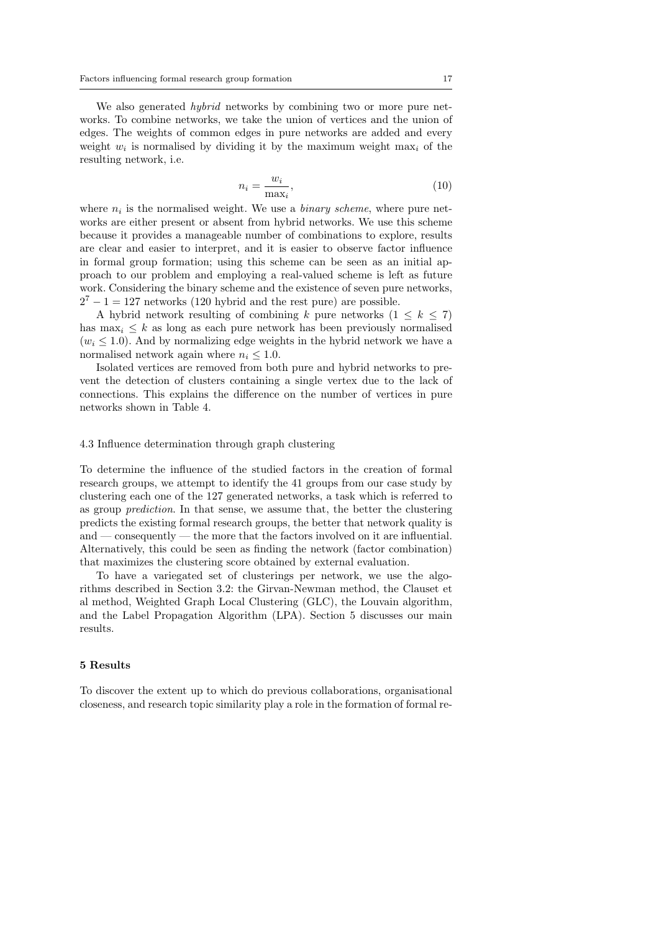We also generated *hybrid* networks by combining two or more pure networks. To combine networks, we take the union of vertices and the union of edges. The weights of common edges in pure networks are added and every weight  $w_i$  is normalised by dividing it by the maximum weight  $\max_i$  of the resulting network, i.e.

$$
n_i = \frac{w_i}{\max_i},\tag{10}
$$

where  $n_i$  is the normalised weight. We use a *binary scheme*, where pure networks are either present or absent from hybrid networks. We use this scheme because it provides a manageable number of combinations to explore, results are clear and easier to interpret, and it is easier to observe factor influence in formal group formation; using this scheme can be seen as an initial approach to our problem and employing a real-valued scheme is left as future work. Considering the binary scheme and the existence of seven pure networks,  $2<sup>7</sup> - 1 = 127$  networks (120 hybrid and the rest pure) are possible.

A hybrid network resulting of combining k pure networks  $(1 \leq k \leq 7)$ has  $\max_i \leq k$  as long as each pure network has been previously normalised  $(w_i \leq 1.0)$ . And by normalizing edge weights in the hybrid network we have a normalised network again where  $n_i \leq 1.0$ .

Isolated vertices are removed from both pure and hybrid networks to prevent the detection of clusters containing a single vertex due to the lack of connections. This explains the difference on the number of vertices in pure networks shown in Table 4.

#### 4.3 Influence determination through graph clustering

To determine the influence of the studied factors in the creation of formal research groups, we attempt to identify the 41 groups from our case study by clustering each one of the 127 generated networks, a task which is referred to as group prediction. In that sense, we assume that, the better the clustering predicts the existing formal research groups, the better that network quality is and — consequently — the more that the factors involved on it are influential. Alternatively, this could be seen as finding the network (factor combination) that maximizes the clustering score obtained by external evaluation.

To have a variegated set of clusterings per network, we use the algorithms described in Section 3.2: the Girvan-Newman method, the Clauset et al method, Weighted Graph Local Clustering (GLC), the Louvain algorithm, and the Label Propagation Algorithm (LPA). Section 5 discusses our main results.

#### 5 Results

To discover the extent up to which do previous collaborations, organisational closeness, and research topic similarity play a role in the formation of formal re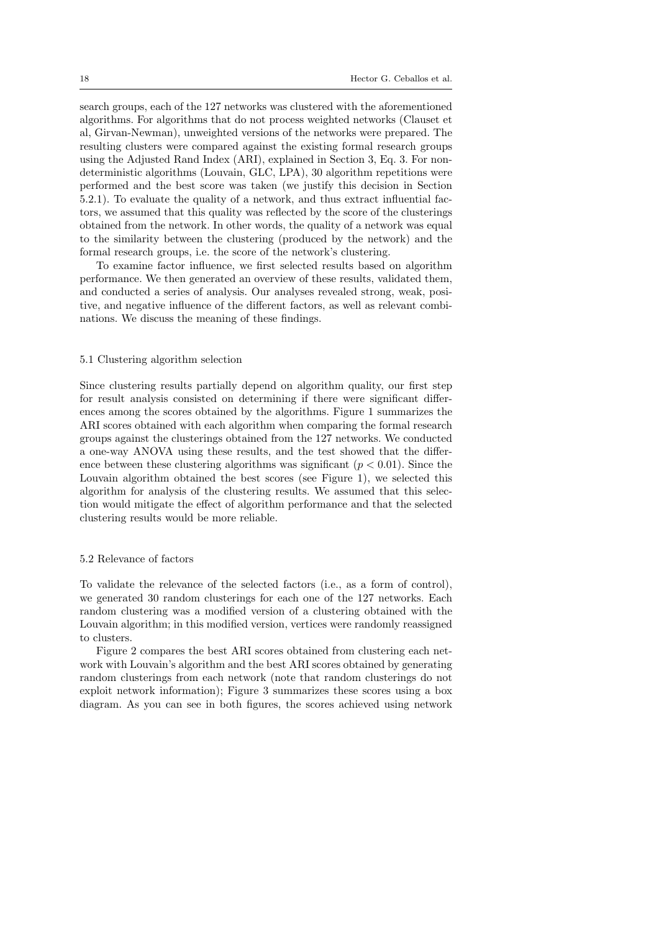search groups, each of the 127 networks was clustered with the aforementioned algorithms. For algorithms that do not process weighted networks (Clauset et al, Girvan-Newman), unweighted versions of the networks were prepared. The resulting clusters were compared against the existing formal research groups using the Adjusted Rand Index (ARI), explained in Section 3, Eq. 3. For nondeterministic algorithms (Louvain, GLC, LPA), 30 algorithm repetitions were performed and the best score was taken (we justify this decision in Section 5.2.1). To evaluate the quality of a network, and thus extract influential factors, we assumed that this quality was reflected by the score of the clusterings obtained from the network. In other words, the quality of a network was equal to the similarity between the clustering (produced by the network) and the formal research groups, i.e. the score of the network's clustering.

To examine factor influence, we first selected results based on algorithm performance. We then generated an overview of these results, validated them, and conducted a series of analysis. Our analyses revealed strong, weak, positive, and negative influence of the different factors, as well as relevant combinations. We discuss the meaning of these findings.

### 5.1 Clustering algorithm selection

Since clustering results partially depend on algorithm quality, our first step for result analysis consisted on determining if there were significant differences among the scores obtained by the algorithms. Figure 1 summarizes the ARI scores obtained with each algorithm when comparing the formal research groups against the clusterings obtained from the 127 networks. We conducted a one-way ANOVA using these results, and the test showed that the difference between these clustering algorithms was significant  $(p < 0.01)$ . Since the Louvain algorithm obtained the best scores (see Figure 1), we selected this algorithm for analysis of the clustering results. We assumed that this selection would mitigate the effect of algorithm performance and that the selected clustering results would be more reliable.

#### 5.2 Relevance of factors

To validate the relevance of the selected factors (i.e., as a form of control), we generated 30 random clusterings for each one of the 127 networks. Each random clustering was a modified version of a clustering obtained with the Louvain algorithm; in this modified version, vertices were randomly reassigned to clusters.

Figure 2 compares the best ARI scores obtained from clustering each network with Louvain's algorithm and the best ARI scores obtained by generating random clusterings from each network (note that random clusterings do not exploit network information); Figure 3 summarizes these scores using a box diagram. As you can see in both figures, the scores achieved using network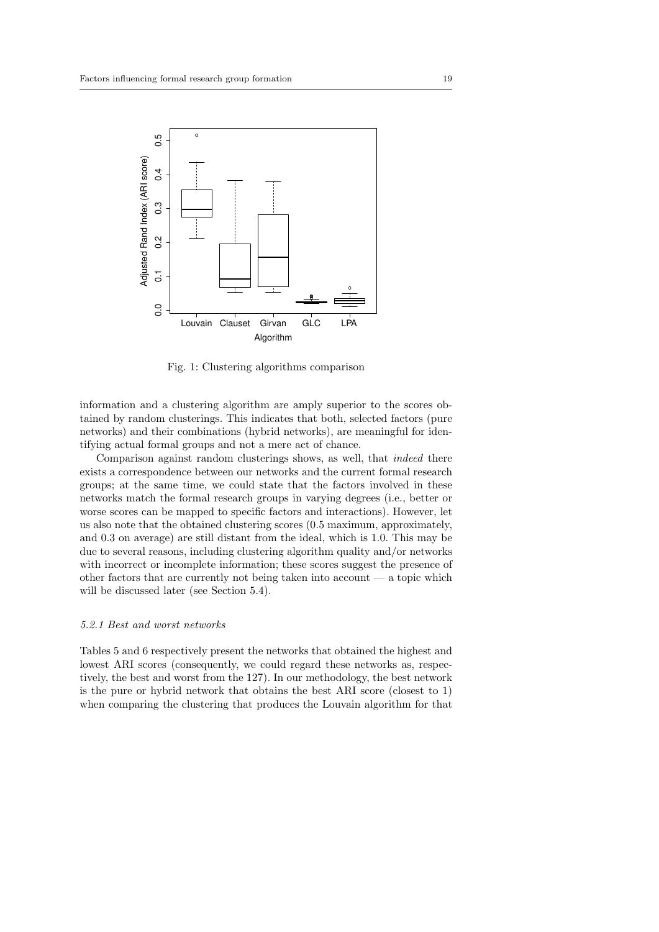

Fig. 1: Clustering algorithms comparison

information and a clustering algorithm are amply superior to the scores obtained by random clusterings. This indicates that both, selected factors (pure networks) and their combinations (hybrid networks), are meaningful for identifying actual formal groups and not a mere act of chance.

Comparison against random clusterings shows, as well, that indeed there exists a correspondence between our networks and the current formal research groups; at the same time, we could state that the factors involved in these networks match the formal research groups in varying degrees (i.e., better or worse scores can be mapped to specific factors and interactions). However, let us also note that the obtained clustering scores (0.5 maximum, approximately, and 0.3 on average) are still distant from the ideal, which is 1.0. This may be due to several reasons, including clustering algorithm quality and/or networks with incorrect or incomplete information; these scores suggest the presence of other factors that are currently not being taken into account — a topic which will be discussed later (see Section 5.4).

#### 5.2.1 Best and worst networks

Tables 5 and 6 respectively present the networks that obtained the highest and lowest ARI scores (consequently, we could regard these networks as, respectively, the best and worst from the 127). In our methodology, the best network is the pure or hybrid network that obtains the best ARI score (closest to 1) when comparing the clustering that produces the Louvain algorithm for that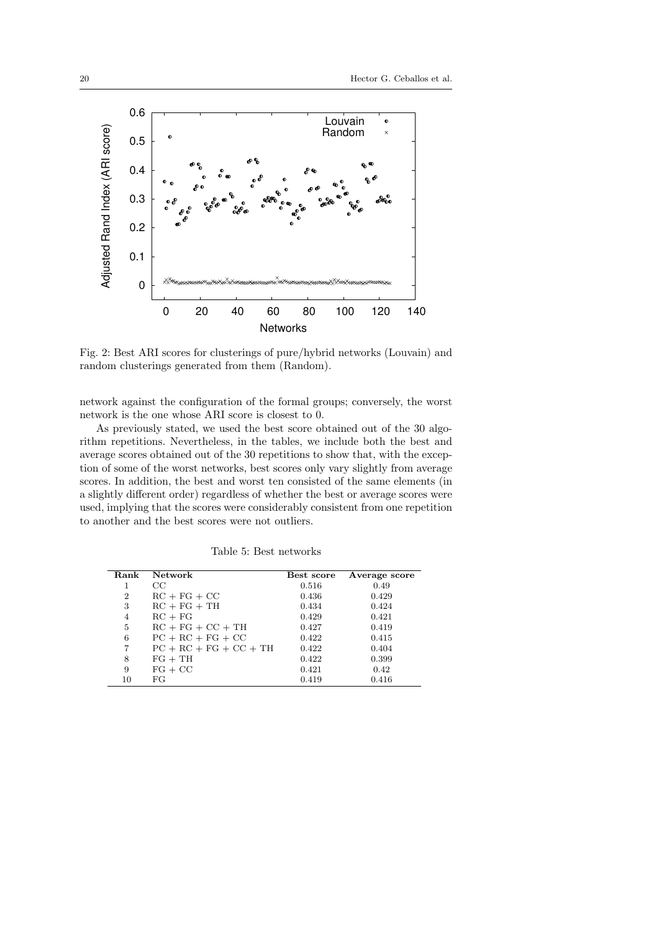

Fig. 2: Best ARI scores for clusterings of pure/hybrid networks (Louvain) and random clusterings generated from them (Random).

network against the configuration of the formal groups; conversely, the worst network is the one whose ARI score is closest to 0.

As previously stated, we used the best score obtained out of the 30 algorithm repetitions. Nevertheless, in the tables, we include both the best and average scores obtained out of the 30 repetitions to show that, with the exception of some of the worst networks, best scores only vary slightly from average scores. In addition, the best and worst ten consisted of the same elements (in a slightly different order) regardless of whether the best or average scores were used, implying that the scores were considerably consistent from one repetition to another and the best scores were not outliers.

| Rank           | <b>Network</b>           | Best score | Average score |
|----------------|--------------------------|------------|---------------|
|                | $_{\rm CC}$              | 0.516      | 0.49          |
| $\overline{2}$ | $RC + FG + CC$           | 0.436      | 0.429         |
| 3              | $RC + FG + TH$           | 0.434      | 0.424         |
| $\overline{4}$ | $RC + FG$                | 0.429      | 0.421         |
| 5              | $RC + FG + CC + TH$      | 0.427      | 0.419         |
| 6              | $PC + RC + FG + CC$      | 0.422      | 0.415         |
| 7              | $PC + RC + FG + CC + TH$ | 0.422      | 0.404         |
| 8              | $FG + TH$                | 0.422      | 0.399         |
| 9              | $FG + CC$                | 0.421      | 0.42          |
| 10             | FG                       | 0.419      | 0.416         |

Table 5: Best networks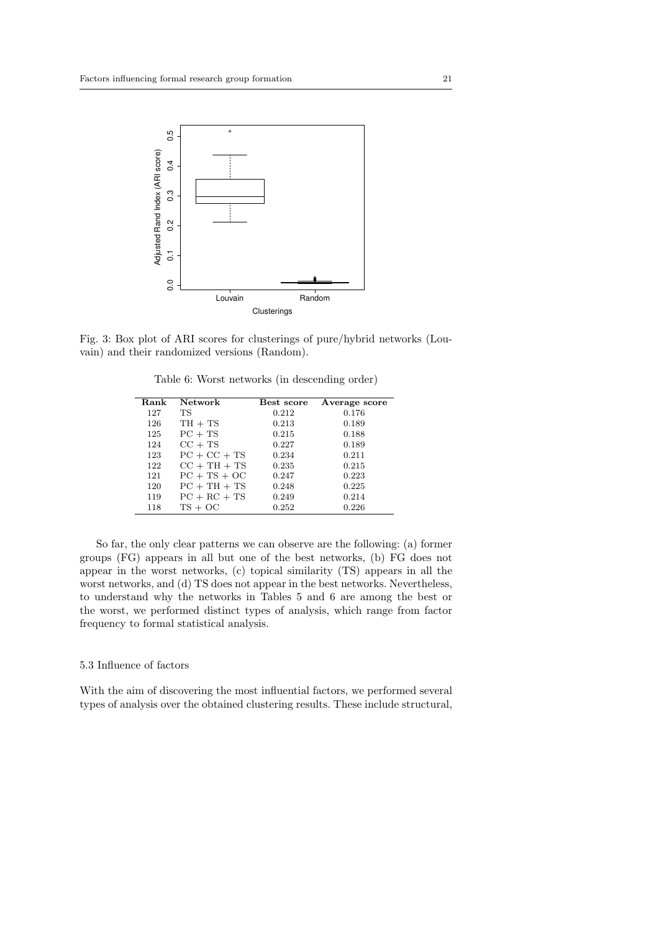

Fig. 3: Box plot of ARI scores for clusterings of pure/hybrid networks (Louvain) and their randomized versions (Random).

Table 6: Worst networks (in descending order)

| Rank | <b>Network</b> | Best score | Average score |
|------|----------------|------------|---------------|
| 127  | TS.            | 0.212      | 0.176         |
| 126  | $TH + TS$      | 0.213      | 0.189         |
| 125  | $PC + TS$      | 0.215      | 0.188         |
| 124  | $CC + TS$      | 0.227      | 0.189         |
| 123  | $PC + CC + TS$ | 0.234      | 0.211         |
| 122  | $CC + TH + TS$ | 0.235      | 0.215         |
| 121  | $PC + TS + OC$ | 0.247      | 0.223         |
| 120  | $PC + TH + TS$ | 0.248      | 0.225         |
| 119  | $PC + RC + TS$ | 0.249      | 0.214         |
| 118  | $TS + OC$      | 0.252      | 0.226         |

So far, the only clear patterns we can observe are the following: (a) former groups (FG) appears in all but one of the best networks, (b) FG does not appear in the worst networks, (c) topical similarity (TS) appears in all the worst networks, and (d) TS does not appear in the best networks. Nevertheless, to understand why the networks in Tables 5 and 6 are among the best or the worst, we performed distinct types of analysis, which range from factor frequency to formal statistical analysis.

# 5.3 Influence of factors

With the aim of discovering the most influential factors, we performed several types of analysis over the obtained clustering results. These include structural,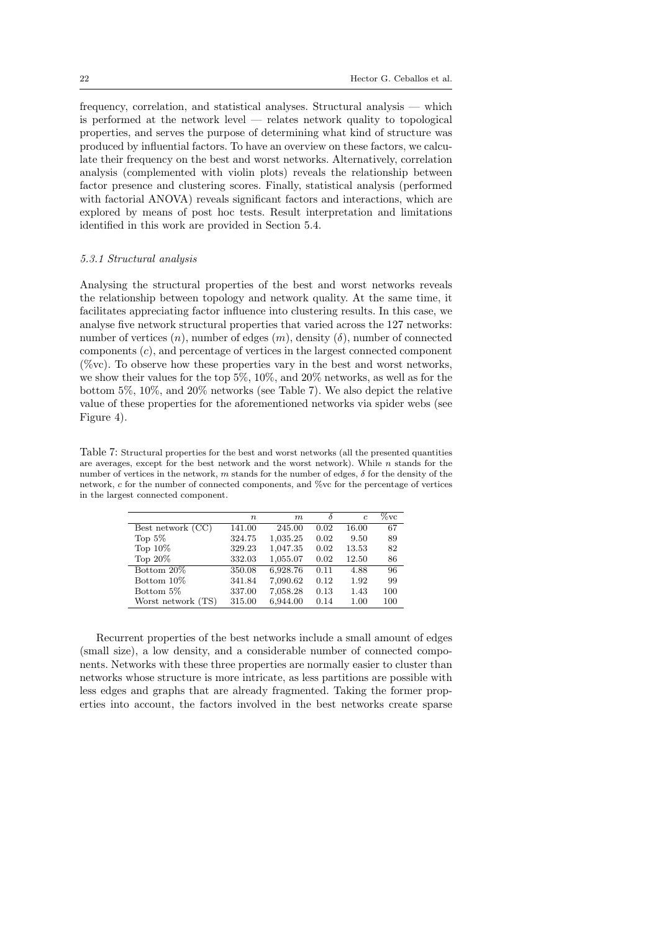frequency, correlation, and statistical analyses. Structural analysis — which is performed at the network level — relates network quality to topological properties, and serves the purpose of determining what kind of structure was produced by influential factors. To have an overview on these factors, we calculate their frequency on the best and worst networks. Alternatively, correlation analysis (complemented with violin plots) reveals the relationship between factor presence and clustering scores. Finally, statistical analysis (performed with factorial ANOVA) reveals significant factors and interactions, which are explored by means of post hoc tests. Result interpretation and limitations identified in this work are provided in Section 5.4.

# 5.3.1 Structural analysis

Analysing the structural properties of the best and worst networks reveals the relationship between topology and network quality. At the same time, it facilitates appreciating factor influence into clustering results. In this case, we analyse five network structural properties that varied across the 127 networks: number of vertices  $(n)$ , number of edges  $(m)$ , density  $(\delta)$ , number of connected components (c), and percentage of vertices in the largest connected component  $(\%$ vc). To observe how these properties vary in the best and worst networks, we show their values for the top 5%, 10%, and 20% networks, as well as for the bottom 5%, 10%, and 20% networks (see Table 7). We also depict the relative value of these properties for the aforementioned networks via spider webs (see Figure 4).

Table 7: Structural properties for the best and worst networks (all the presented quantities are averages, except for the best network and the worst network). While  $n$  stands for the number of vertices in the network, m stands for the number of edges,  $\delta$  for the density of the network, c for the number of connected components, and %vc for the percentage of vertices in the largest connected component.

|                    | $\, n$ | $\boldsymbol{m}$ |      | $\epsilon$ | $\%$ vc |
|--------------------|--------|------------------|------|------------|---------|
| Best network (CC)  | 141.00 | 245.00           | 0.02 | 16.00      | 67      |
| Top $5\%$          | 324.75 | 1,035.25         | 0.02 | 9.50       | 89      |
| Top $10\%$         | 329.23 | 1,047.35         | 0.02 | 13.53      | 82      |
| Top $20\%$         | 332.03 | 1,055.07         | 0.02 | 12.50      | 86      |
| Bottom 20%         | 350.08 | 6,928.76         | 0.11 | 4.88       | 96      |
| Bottom 10\%        | 341.84 | 7,090.62         | 0.12 | 1.92       | 99      |
| Bottom 5\%         | 337.00 | 7,058.28         | 0.13 | 1.43       | 100     |
| Worst network (TS) | 315.00 | 6,944.00         | 0.14 | 1.00       | 100     |

Recurrent properties of the best networks include a small amount of edges (small size), a low density, and a considerable number of connected components. Networks with these three properties are normally easier to cluster than networks whose structure is more intricate, as less partitions are possible with less edges and graphs that are already fragmented. Taking the former properties into account, the factors involved in the best networks create sparse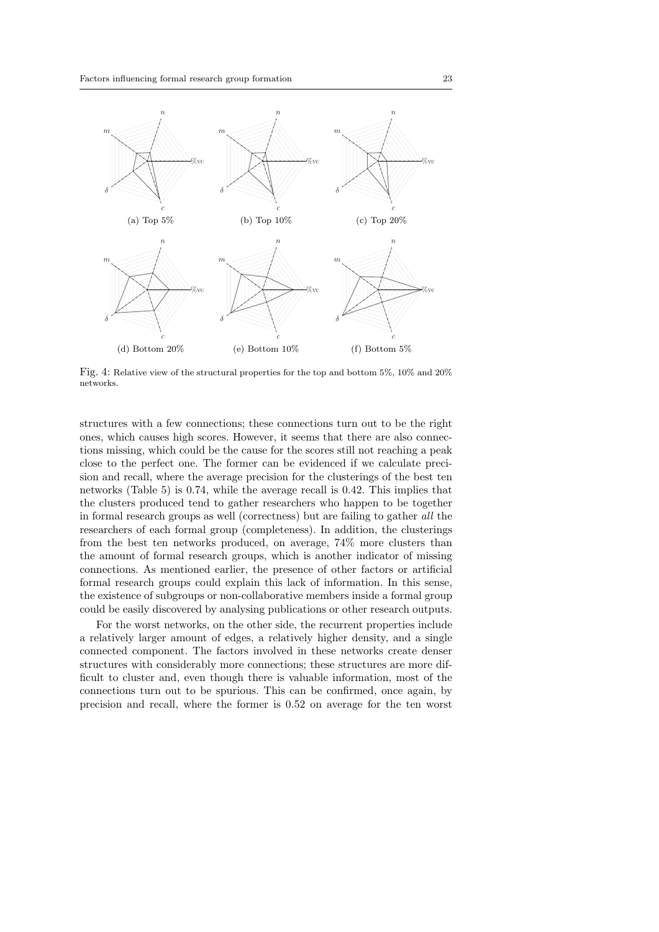

Fig. 4: Relative view of the structural properties for the top and bottom 5%, 10% and 20% networks.

structures with a few connections; these connections turn out to be the right ones, which causes high scores. However, it seems that there are also connections missing, which could be the cause for the scores still not reaching a peak close to the perfect one. The former can be evidenced if we calculate precision and recall, where the average precision for the clusterings of the best ten networks (Table 5) is 0.74, while the average recall is 0.42. This implies that the clusters produced tend to gather researchers who happen to be together in formal research groups as well (correctness) but are failing to gather all the researchers of each formal group (completeness). In addition, the clusterings from the best ten networks produced, on average, 74% more clusters than the amount of formal research groups, which is another indicator of missing connections. As mentioned earlier, the presence of other factors or artificial formal research groups could explain this lack of information. In this sense, the existence of subgroups or non-collaborative members inside a formal group could be easily discovered by analysing publications or other research outputs.

For the worst networks, on the other side, the recurrent properties include a relatively larger amount of edges, a relatively higher density, and a single connected component. The factors involved in these networks create denser structures with considerably more connections; these structures are more difficult to cluster and, even though there is valuable information, most of the connections turn out to be spurious. This can be confirmed, once again, by precision and recall, where the former is 0.52 on average for the ten worst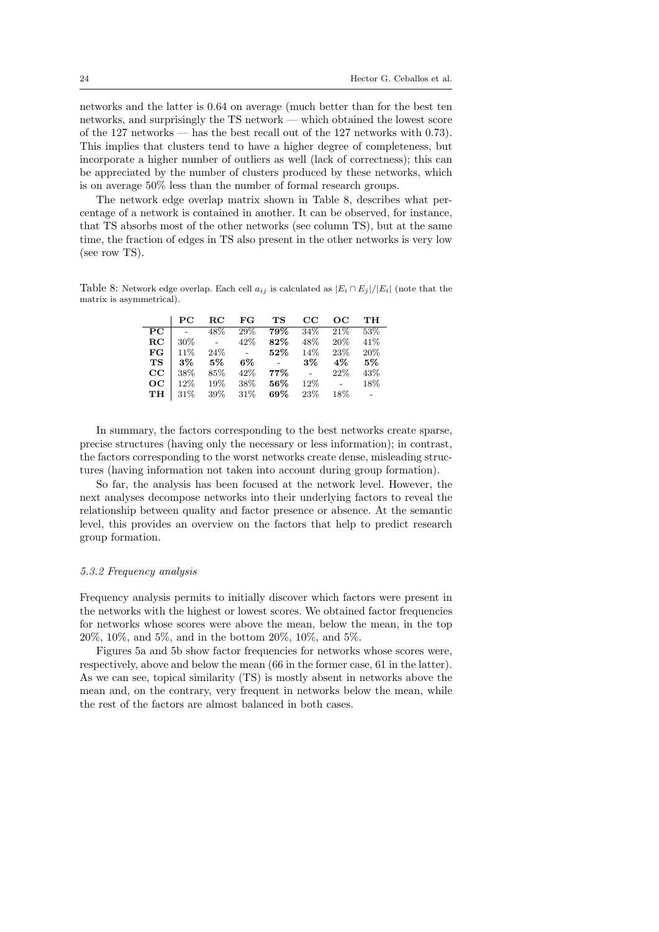networks and the latter is 0.64 on average (much better than for the best ten networks, and surprisingly the TS network — which obtained the lowest score of the 127 networks — has the best recall out of the 127 networks with 0.73). This implies that clusters tend to have a higher degree of completeness, but incorporate a higher number of outliers as well (lack of correctness); this can be appreciated by the number of clusters produced by these networks, which is on average 50% less than the number of formal research groups.

The network edge overlap matrix shown in Table 8, describes what percentage of a network is contained in another. It can be observed, for instance, that TS absorbs most of the other networks (see column TS), but at the same time, the fraction of edges in TS also present in the other networks is very low (see row TS).

Table 8: Network edge overlap. Each cell  $a_{ij}$  is calculated as  $|E_i \cap E_j|/|E_i|$  (note that the matrix is asymmetrical).

|             | PС    | RС                       | FG   | тs     | $_{\rm CC}$ | OС    | TН   |
|-------------|-------|--------------------------|------|--------|-------------|-------|------|
| PС          |       | 48\%                     | 29%  | 79%    | 34%         | 21%   | 53%  |
| $_{\rm RC}$ | 30\%  | $\overline{\phantom{a}}$ | 42\% | 82%    | 48\%        | 20%   | 41\% |
| FG          | 11\%  | 24%                      |      | 52%    | 14%         | 23%   | 20%  |
| <b>TS</b>   | $3\%$ | $5\%$                    | 6%   |        | 3%          | $4\%$ | 5%   |
| $_{\rm CC}$ | 38%   | 85%                      | 42\% | 77%    |             | 22%   | 43\% |
| OC          | 12%   | 19%                      | 38%  | $56\%$ | 12%         |       | 18%  |
| TH          | 31\%  | 39%                      | 31\% | 69%    | 23%         | 18%   |      |

In summary, the factors corresponding to the best networks create sparse, precise structures (having only the necessary or less information); in contrast, the factors corresponding to the worst networks create dense, misleading structures (having information not taken into account during group formation).

So far, the analysis has been focused at the network level. However, the next analyses decompose networks into their underlying factors to reveal the relationship between quality and factor presence or absence. At the semantic level, this provides an overview on the factors that help to predict research group formation.

#### 5.3.2 Frequency analysis

Frequency analysis permits to initially discover which factors were present in the networks with the highest or lowest scores. We obtained factor frequencies for networks whose scores were above the mean, below the mean, in the top 20%, 10%, and 5%, and in the bottom 20%, 10%, and 5%.

Figures 5a and 5b show factor frequencies for networks whose scores were, respectively, above and below the mean (66 in the former case, 61 in the latter). As we can see, topical similarity (TS) is mostly absent in networks above the mean and, on the contrary, very frequent in networks below the mean, while the rest of the factors are almost balanced in both cases.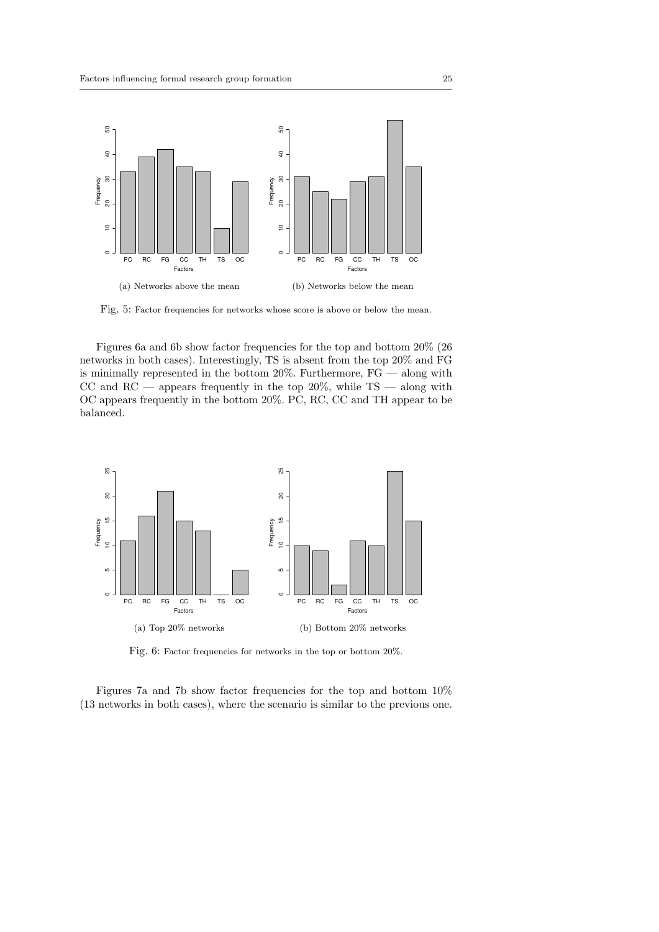

Fig. 5: Factor frequencies for networks whose score is above or below the mean.

Figures 6a and 6b show factor frequencies for the top and bottom 20% (26 networks in both cases). Interestingly, TS is absent from the top 20% and FG is minimally represented in the bottom  $20\%$ . Furthermore,  $FG$  — along with CC and  $RC$  — appears frequently in the top 20%, while  $TS$  — along with OC appears frequently in the bottom 20%. PC, RC, CC and TH appear to be balanced.



Fig. 6: Factor frequencies for networks in the top or bottom 20%.

Figures 7a and 7b show factor frequencies for the top and bottom 10% (13 networks in both cases), where the scenario is similar to the previous one.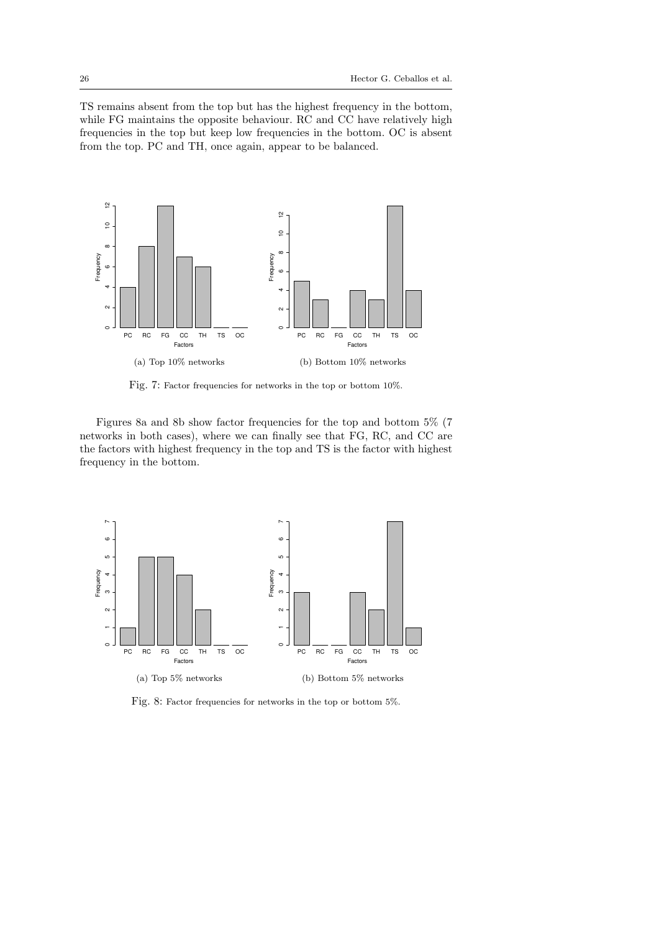TS remains absent from the top but has the highest frequency in the bottom, while FG maintains the opposite behaviour. RC and CC have relatively high frequencies in the top but keep low frequencies in the bottom. OC is absent from the top. PC and TH, once again, appear to be balanced.



Fig. 7: Factor frequencies for networks in the top or bottom 10%.

Figures 8a and 8b show factor frequencies for the top and bottom 5% (7 networks in both cases), where we can finally see that FG, RC, and CC are the factors with highest frequency in the top and TS is the factor with highest frequency in the bottom.



Fig. 8: Factor frequencies for networks in the top or bottom 5%.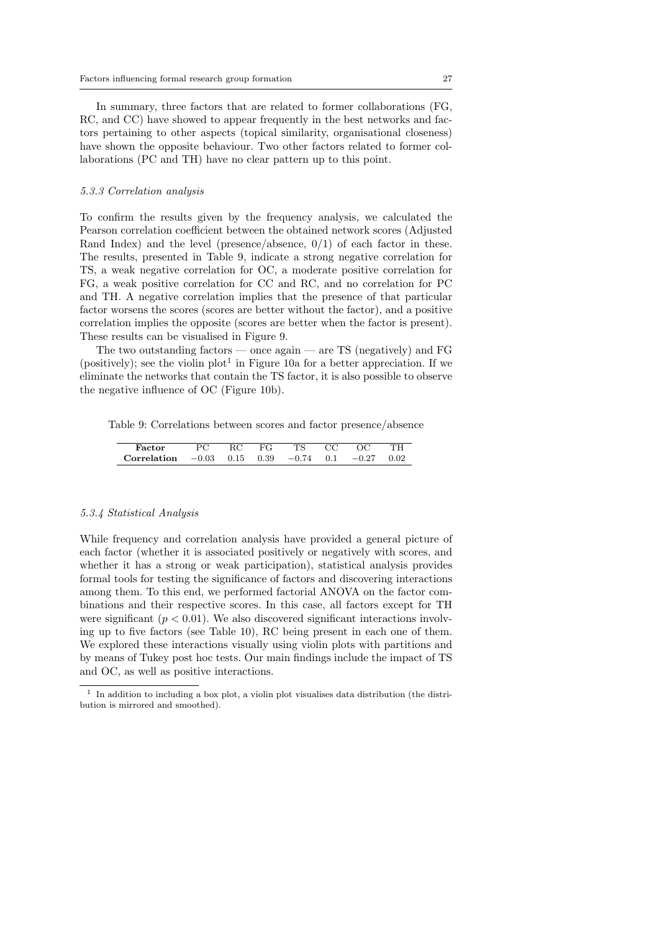In summary, three factors that are related to former collaborations (FG, RC, and CC) have showed to appear frequently in the best networks and factors pertaining to other aspects (topical similarity, organisational closeness) have shown the opposite behaviour. Two other factors related to former collaborations (PC and TH) have no clear pattern up to this point.

#### 5.3.3 Correlation analysis

To confirm the results given by the frequency analysis, we calculated the Pearson correlation coefficient between the obtained network scores (Adjusted Rand Index) and the level (presence/absence,  $0/1$ ) of each factor in these. The results, presented in Table 9, indicate a strong negative correlation for TS, a weak negative correlation for OC, a moderate positive correlation for FG, a weak positive correlation for CC and RC, and no correlation for PC and TH. A negative correlation implies that the presence of that particular factor worsens the scores (scores are better without the factor), and a positive correlation implies the opposite (scores are better when the factor is present). These results can be visualised in Figure 9.

The two outstanding factors — once again — are TS (negatively) and  $FG$ (positively); see the violin  $plot<sup>1</sup>$  in Figure 10a for a better appreciation. If we eliminate the networks that contain the TS factor, it is also possible to observe the negative influence of OC (Figure 10b).

Table 9: Correlations between scores and factor presence/absence

| Factor                                                   | RС | FG | TS | CC | ΓН   |
|----------------------------------------------------------|----|----|----|----|------|
| <b>Correlation</b> $-0.03$ 0.15 0.39 $-0.74$ 0.1 $-0.27$ |    |    |    |    | 0.02 |

### 5.3.4 Statistical Analysis

While frequency and correlation analysis have provided a general picture of each factor (whether it is associated positively or negatively with scores, and whether it has a strong or weak participation), statistical analysis provides formal tools for testing the significance of factors and discovering interactions among them. To this end, we performed factorial ANOVA on the factor combinations and their respective scores. In this case, all factors except for TH were significant ( $p < 0.01$ ). We also discovered significant interactions involving up to five factors (see Table 10), RC being present in each one of them. We explored these interactions visually using violin plots with partitions and by means of Tukey post hoc tests. Our main findings include the impact of TS and OC, as well as positive interactions.

<sup>1</sup> In addition to including a box plot, a violin plot visualises data distribution (the distribution is mirrored and smoothed).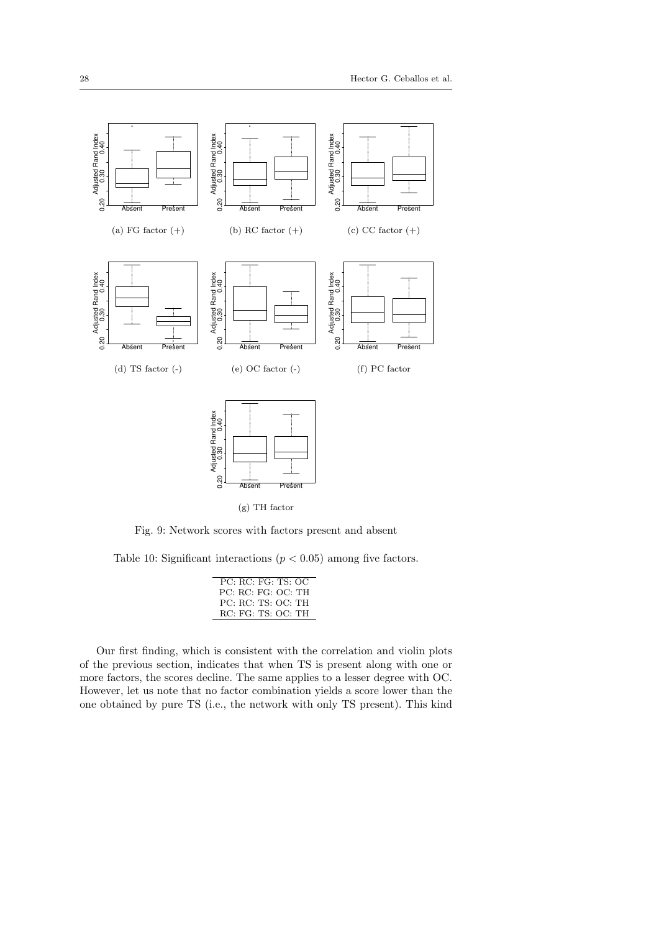

Fig. 9: Network scores with factors present and absent

Table 10: Significant interactions ( $p < 0.05$ ) among five factors.

| PC RC FG TS OC     |
|--------------------|
| PC: RC: FG: OC: TH |
| PC: RC: TS: OC: TH |
| RC: FG: TS: OC: TH |
|                    |

Our first finding, which is consistent with the correlation and violin plots of the previous section, indicates that when TS is present along with one or more factors, the scores decline. The same applies to a lesser degree with OC. However, let us note that no factor combination yields a score lower than the one obtained by pure TS (i.e., the network with only TS present). This kind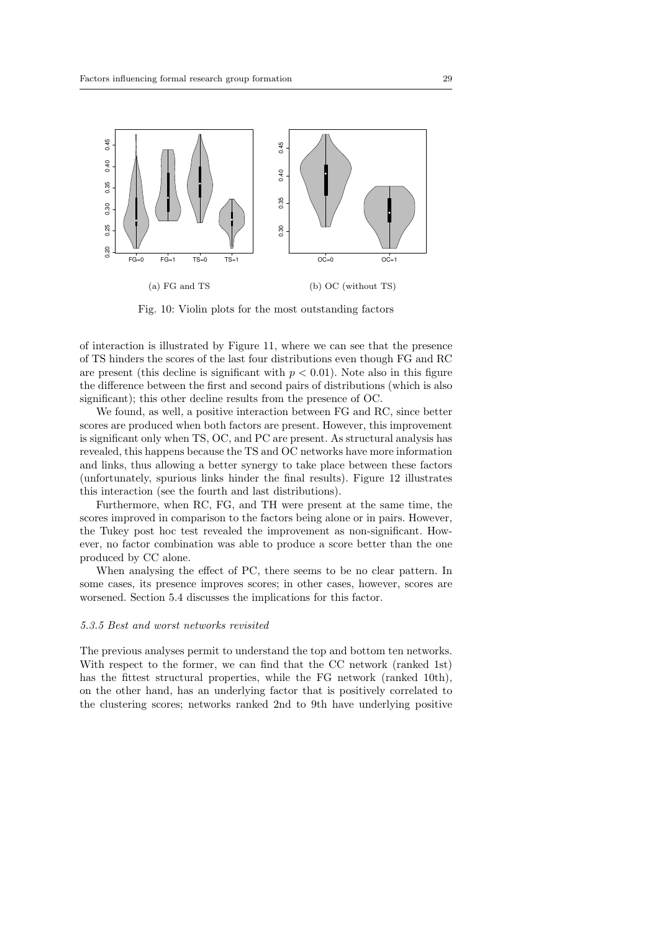

Fig. 10: Violin plots for the most outstanding factors

of interaction is illustrated by Figure 11, where we can see that the presence of TS hinders the scores of the last four distributions even though FG and RC are present (this decline is significant with  $p < 0.01$ ). Note also in this figure the difference between the first and second pairs of distributions (which is also significant); this other decline results from the presence of OC.

We found, as well, a positive interaction between FG and RC, since better scores are produced when both factors are present. However, this improvement is significant only when TS, OC, and PC are present. As structural analysis has revealed, this happens because the TS and OC networks have more information and links, thus allowing a better synergy to take place between these factors (unfortunately, spurious links hinder the final results). Figure 12 illustrates this interaction (see the fourth and last distributions).

Furthermore, when RC, FG, and TH were present at the same time, the scores improved in comparison to the factors being alone or in pairs. However, the Tukey post hoc test revealed the improvement as non-significant. However, no factor combination was able to produce a score better than the one produced by CC alone.

When analysing the effect of PC, there seems to be no clear pattern. In some cases, its presence improves scores; in other cases, however, scores are worsened. Section 5.4 discusses the implications for this factor.

### 5.3.5 Best and worst networks revisited

The previous analyses permit to understand the top and bottom ten networks. With respect to the former, we can find that the CC network (ranked 1st) has the fittest structural properties, while the FG network (ranked 10th), on the other hand, has an underlying factor that is positively correlated to the clustering scores; networks ranked 2nd to 9th have underlying positive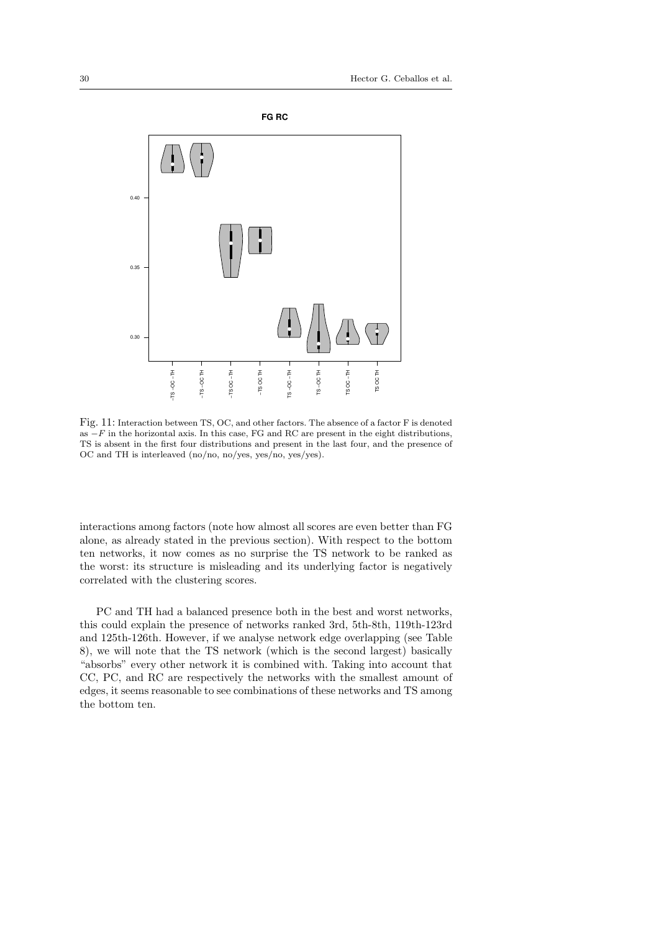

Fig. 11: Interaction between TS, OC, and other factors. The absence of a factor F is denoted as  $-F$  in the horizontal axis. In this case, FG and RC are present in the eight distributions, TS is absent in the first four distributions and present in the last four, and the presence of OC and TH is interleaved (no/no, no/yes, yes/no, yes/yes).

interactions among factors (note how almost all scores are even better than FG alone, as already stated in the previous section). With respect to the bottom ten networks, it now comes as no surprise the TS network to be ranked as the worst: its structure is misleading and its underlying factor is negatively correlated with the clustering scores.

PC and TH had a balanced presence both in the best and worst networks, this could explain the presence of networks ranked 3rd, 5th-8th, 119th-123rd and 125th-126th. However, if we analyse network edge overlapping (see Table 8), we will note that the TS network (which is the second largest) basically "absorbs" every other network it is combined with. Taking into account that CC, PC, and RC are respectively the networks with the smallest amount of edges, it seems reasonable to see combinations of these networks and TS among the bottom ten.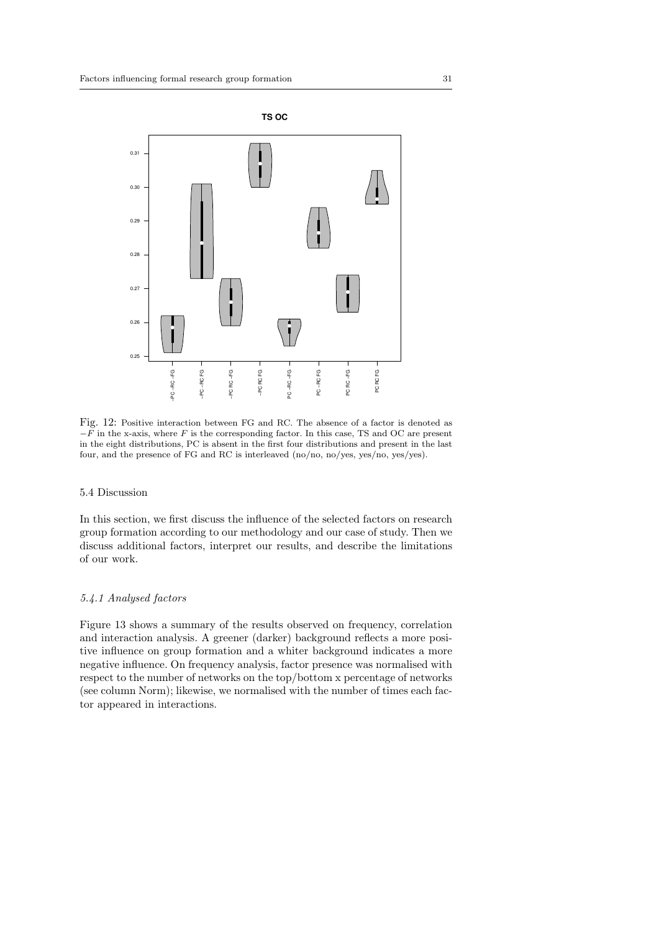

Fig. 12: Positive interaction between FG and RC. The absence of a factor is denoted as  $-F$  in the x-axis, where F is the corresponding factor. In this case, TS and OC are present in the eight distributions, PC is absent in the first four distributions and present in the last four, and the presence of FG and RC is interleaved (no/no, no/yes, yes/no, yes/yes).

# 5.4 Discussion

In this section, we first discuss the influence of the selected factors on research group formation according to our methodology and our case of study. Then we discuss additional factors, interpret our results, and describe the limitations of our work.

# 5.4.1 Analysed factors

Figure 13 shows a summary of the results observed on frequency, correlation and interaction analysis. A greener (darker) background reflects a more positive influence on group formation and a whiter background indicates a more negative influence. On frequency analysis, factor presence was normalised with respect to the number of networks on the top/bottom x percentage of networks (see column Norm); likewise, we normalised with the number of times each factor appeared in interactions.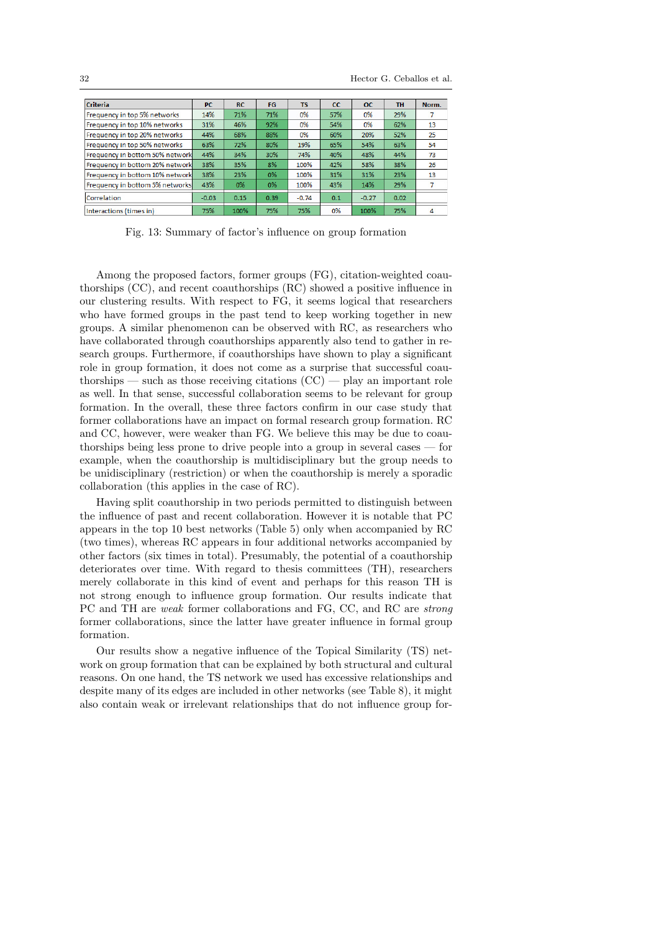| <b>Criteria</b>                 | <b>PC</b> | <b>RC</b> | <b>FG</b> | <b>TS</b> | cc  | $_{\rm oc}$ | <b>TH</b> | Norm. |
|---------------------------------|-----------|-----------|-----------|-----------|-----|-------------|-----------|-------|
| Frequency in top 5% networks    | 14%       | 71%       | 71%       | 0%        | 57% | 0%          | 29%       |       |
| Frequency in top 10% networks   | 31%       | 46%       | 92%       | 0%        | 54% | 0%          | 62%       | 13    |
| Frequency in top 20% networks   | 44%       | 68%       | 88%       | 0%        | 60% | 20%         | 52%       | 25    |
| Frequency in top 50% networks   | 63%       | 72%       | 80%       | 19%       | 65% | 54%         | 63%       | 54    |
| Frequency in bottom 50% network | 44%       | 34%       | 30%       | 74%       | 40% | 48%         | 44%       | 73    |
| Frequency in bottom 20% network | 38%       | 35%       | 8%        | 100%      | 42% | 58%         | 38%       | 26    |
| Frequency in bottom 10% network | 38%       | 23%       | 0%        | 100%      | 31% | 31%         | 23%       | 13    |
| Frequency in bottom 5% networks | 43%       | $0\%$     | 0%        | 100%      | 43% | 14%         | 29%       | 7     |
| Correlation                     | $-0.03$   | 0.15      | 0.39      | $-0.74$   | 0.1 | $-0.27$     | 0.02      |       |
| Interactions (times in)         | 75%       | 100%      | 75%       | 75%       | 0%  | 100%        | 75%       | 4     |

Fig. 13: Summary of factor's influence on group formation

Among the proposed factors, former groups (FG), citation-weighted coauthorships (CC), and recent coauthorships (RC) showed a positive influence in our clustering results. With respect to FG, it seems logical that researchers who have formed groups in the past tend to keep working together in new groups. A similar phenomenon can be observed with RC, as researchers who have collaborated through coauthorships apparently also tend to gather in research groups. Furthermore, if coauthorships have shown to play a significant role in group formation, it does not come as a surprise that successful coauthorships — such as those receiving citations  $(CC)$  — play an important role as well. In that sense, successful collaboration seems to be relevant for group formation. In the overall, these three factors confirm in our case study that former collaborations have an impact on formal research group formation. RC and CC, however, were weaker than FG. We believe this may be due to coauthorships being less prone to drive people into a group in several cases — for example, when the coauthorship is multidisciplinary but the group needs to be unidisciplinary (restriction) or when the coauthorship is merely a sporadic collaboration (this applies in the case of RC).

Having split coauthorship in two periods permitted to distinguish between the influence of past and recent collaboration. However it is notable that PC appears in the top 10 best networks (Table 5) only when accompanied by RC (two times), whereas RC appears in four additional networks accompanied by other factors (six times in total). Presumably, the potential of a coauthorship deteriorates over time. With regard to thesis committees (TH), researchers merely collaborate in this kind of event and perhaps for this reason TH is not strong enough to influence group formation. Our results indicate that PC and TH are weak former collaborations and FG, CC, and RC are strong former collaborations, since the latter have greater influence in formal group formation.

Our results show a negative influence of the Topical Similarity (TS) network on group formation that can be explained by both structural and cultural reasons. On one hand, the TS network we used has excessive relationships and despite many of its edges are included in other networks (see Table 8), it might also contain weak or irrelevant relationships that do not influence group for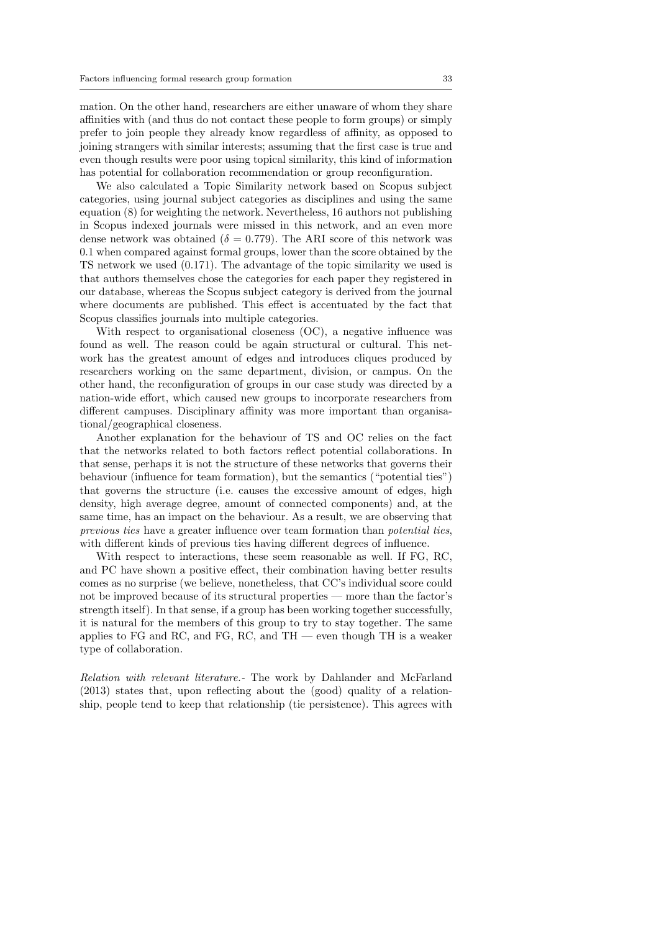mation. On the other hand, researchers are either unaware of whom they share affinities with (and thus do not contact these people to form groups) or simply prefer to join people they already know regardless of affinity, as opposed to joining strangers with similar interests; assuming that the first case is true and even though results were poor using topical similarity, this kind of information has potential for collaboration recommendation or group reconfiguration.

We also calculated a Topic Similarity network based on Scopus subject categories, using journal subject categories as disciplines and using the same equation (8) for weighting the network. Nevertheless, 16 authors not publishing in Scopus indexed journals were missed in this network, and an even more dense network was obtained ( $\delta = 0.779$ ). The ARI score of this network was 0.1 when compared against formal groups, lower than the score obtained by the TS network we used (0.171). The advantage of the topic similarity we used is that authors themselves chose the categories for each paper they registered in our database, whereas the Scopus subject category is derived from the journal where documents are published. This effect is accentuated by the fact that Scopus classifies journals into multiple categories.

With respect to organisational closeness (OC), a negative influence was found as well. The reason could be again structural or cultural. This network has the greatest amount of edges and introduces cliques produced by researchers working on the same department, division, or campus. On the other hand, the reconfiguration of groups in our case study was directed by a nation-wide effort, which caused new groups to incorporate researchers from different campuses. Disciplinary affinity was more important than organisational/geographical closeness.

Another explanation for the behaviour of TS and OC relies on the fact that the networks related to both factors reflect potential collaborations. In that sense, perhaps it is not the structure of these networks that governs their behaviour (influence for team formation), but the semantics ("potential ties") that governs the structure (i.e. causes the excessive amount of edges, high density, high average degree, amount of connected components) and, at the same time, has an impact on the behaviour. As a result, we are observing that previous ties have a greater influence over team formation than potential ties, with different kinds of previous ties having different degrees of influence.

With respect to interactions, these seem reasonable as well. If FG, RC, and PC have shown a positive effect, their combination having better results comes as no surprise (we believe, nonetheless, that CC's individual score could not be improved because of its structural properties — more than the factor's strength itself). In that sense, if a group has been working together successfully, it is natural for the members of this group to try to stay together. The same applies to FG and RC, and FG, RC, and TH — even though TH is a weaker type of collaboration.

Relation with relevant literature.- The work by Dahlander and McFarland (2013) states that, upon reflecting about the (good) quality of a relationship, people tend to keep that relationship (tie persistence). This agrees with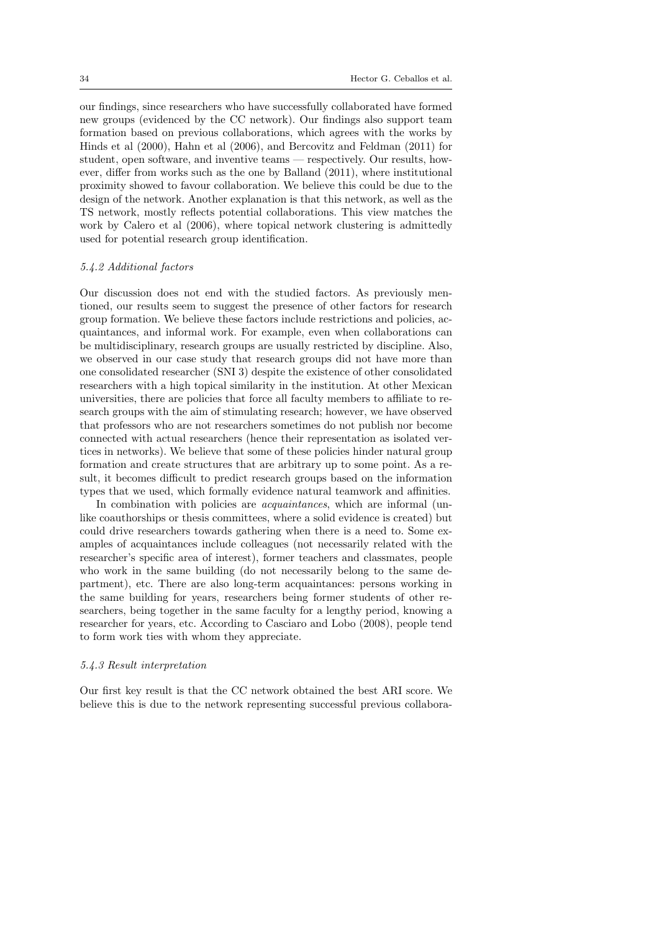our findings, since researchers who have successfully collaborated have formed new groups (evidenced by the CC network). Our findings also support team formation based on previous collaborations, which agrees with the works by Hinds et al (2000), Hahn et al (2006), and Bercovitz and Feldman (2011) for student, open software, and inventive teams — respectively. Our results, however, differ from works such as the one by Balland (2011), where institutional proximity showed to favour collaboration. We believe this could be due to the design of the network. Another explanation is that this network, as well as the TS network, mostly reflects potential collaborations. This view matches the work by Calero et al (2006), where topical network clustering is admittedly used for potential research group identification.

# 5.4.2 Additional factors

Our discussion does not end with the studied factors. As previously mentioned, our results seem to suggest the presence of other factors for research group formation. We believe these factors include restrictions and policies, acquaintances, and informal work. For example, even when collaborations can be multidisciplinary, research groups are usually restricted by discipline. Also, we observed in our case study that research groups did not have more than one consolidated researcher (SNI 3) despite the existence of other consolidated researchers with a high topical similarity in the institution. At other Mexican universities, there are policies that force all faculty members to affiliate to research groups with the aim of stimulating research; however, we have observed that professors who are not researchers sometimes do not publish nor become connected with actual researchers (hence their representation as isolated vertices in networks). We believe that some of these policies hinder natural group formation and create structures that are arbitrary up to some point. As a result, it becomes difficult to predict research groups based on the information types that we used, which formally evidence natural teamwork and affinities.

In combination with policies are *acquaintances*, which are informal (unlike coauthorships or thesis committees, where a solid evidence is created) but could drive researchers towards gathering when there is a need to. Some examples of acquaintances include colleagues (not necessarily related with the researcher's specific area of interest), former teachers and classmates, people who work in the same building (do not necessarily belong to the same department), etc. There are also long-term acquaintances: persons working in the same building for years, researchers being former students of other researchers, being together in the same faculty for a lengthy period, knowing a researcher for years, etc. According to Casciaro and Lobo (2008), people tend to form work ties with whom they appreciate.

#### 5.4.3 Result interpretation

Our first key result is that the CC network obtained the best ARI score. We believe this is due to the network representing successful previous collabora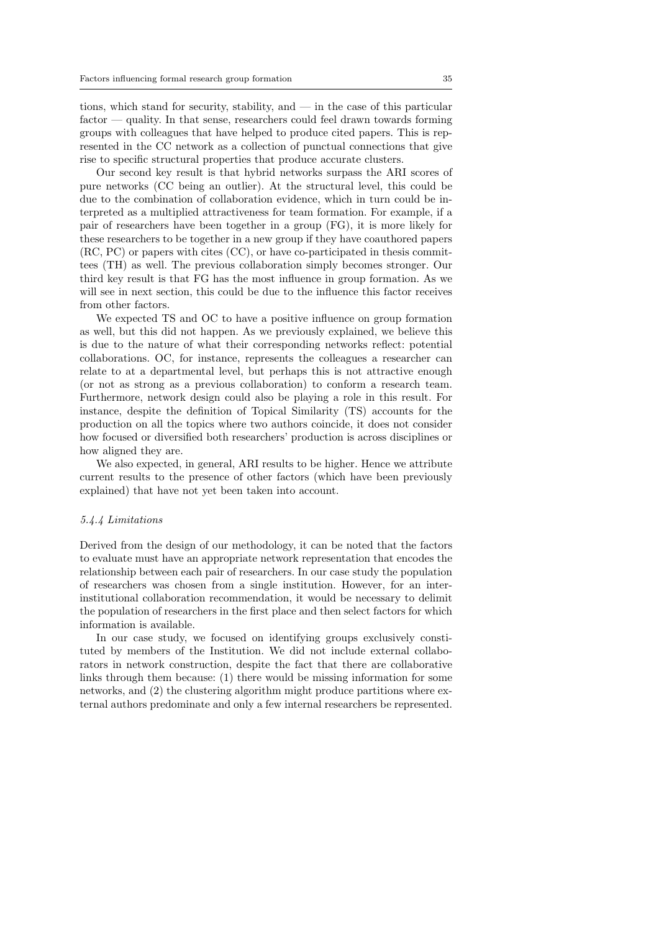tions, which stand for security, stability, and — in the case of this particular factor — quality. In that sense, researchers could feel drawn towards forming groups with colleagues that have helped to produce cited papers. This is represented in the CC network as a collection of punctual connections that give rise to specific structural properties that produce accurate clusters.

Our second key result is that hybrid networks surpass the ARI scores of pure networks (CC being an outlier). At the structural level, this could be due to the combination of collaboration evidence, which in turn could be interpreted as a multiplied attractiveness for team formation. For example, if a pair of researchers have been together in a group (FG), it is more likely for these researchers to be together in a new group if they have coauthored papers (RC, PC) or papers with cites (CC), or have co-participated in thesis committees (TH) as well. The previous collaboration simply becomes stronger. Our third key result is that FG has the most influence in group formation. As we will see in next section, this could be due to the influence this factor receives from other factors.

We expected TS and OC to have a positive influence on group formation as well, but this did not happen. As we previously explained, we believe this is due to the nature of what their corresponding networks reflect: potential collaborations. OC, for instance, represents the colleagues a researcher can relate to at a departmental level, but perhaps this is not attractive enough (or not as strong as a previous collaboration) to conform a research team. Furthermore, network design could also be playing a role in this result. For instance, despite the definition of Topical Similarity (TS) accounts for the production on all the topics where two authors coincide, it does not consider how focused or diversified both researchers' production is across disciplines or how aligned they are.

We also expected, in general, ARI results to be higher. Hence we attribute current results to the presence of other factors (which have been previously explained) that have not yet been taken into account.

#### 5.4.4 Limitations

Derived from the design of our methodology, it can be noted that the factors to evaluate must have an appropriate network representation that encodes the relationship between each pair of researchers. In our case study the population of researchers was chosen from a single institution. However, for an interinstitutional collaboration recommendation, it would be necessary to delimit the population of researchers in the first place and then select factors for which information is available.

In our case study, we focused on identifying groups exclusively constituted by members of the Institution. We did not include external collaborators in network construction, despite the fact that there are collaborative links through them because: (1) there would be missing information for some networks, and (2) the clustering algorithm might produce partitions where external authors predominate and only a few internal researchers be represented.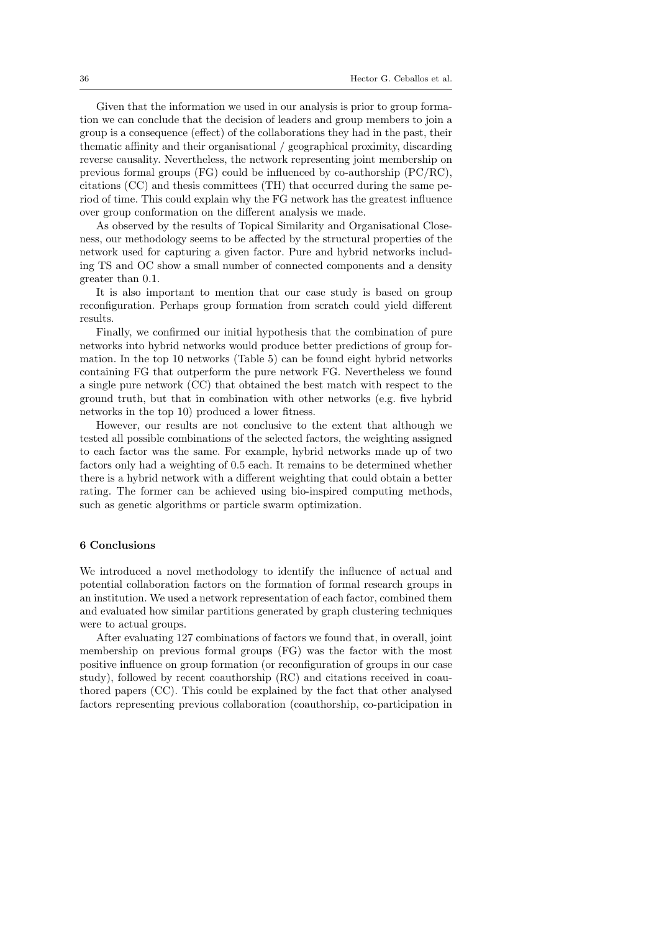Given that the information we used in our analysis is prior to group formation we can conclude that the decision of leaders and group members to join a group is a consequence (effect) of the collaborations they had in the past, their thematic affinity and their organisational / geographical proximity, discarding reverse causality. Nevertheless, the network representing joint membership on previous formal groups (FG) could be influenced by co-authorship (PC/RC), citations (CC) and thesis committees (TH) that occurred during the same period of time. This could explain why the FG network has the greatest influence over group conformation on the different analysis we made.

As observed by the results of Topical Similarity and Organisational Closeness, our methodology seems to be affected by the structural properties of the network used for capturing a given factor. Pure and hybrid networks including TS and OC show a small number of connected components and a density greater than 0.1.

It is also important to mention that our case study is based on group reconfiguration. Perhaps group formation from scratch could yield different results.

Finally, we confirmed our initial hypothesis that the combination of pure networks into hybrid networks would produce better predictions of group formation. In the top 10 networks (Table 5) can be found eight hybrid networks containing FG that outperform the pure network FG. Nevertheless we found a single pure network (CC) that obtained the best match with respect to the ground truth, but that in combination with other networks (e.g. five hybrid networks in the top 10) produced a lower fitness.

However, our results are not conclusive to the extent that although we tested all possible combinations of the selected factors, the weighting assigned to each factor was the same. For example, hybrid networks made up of two factors only had a weighting of 0.5 each. It remains to be determined whether there is a hybrid network with a different weighting that could obtain a better rating. The former can be achieved using bio-inspired computing methods, such as genetic algorithms or particle swarm optimization.

#### 6 Conclusions

We introduced a novel methodology to identify the influence of actual and potential collaboration factors on the formation of formal research groups in an institution. We used a network representation of each factor, combined them and evaluated how similar partitions generated by graph clustering techniques were to actual groups.

After evaluating 127 combinations of factors we found that, in overall, joint membership on previous formal groups (FG) was the factor with the most positive influence on group formation (or reconfiguration of groups in our case study), followed by recent coauthorship (RC) and citations received in coauthored papers (CC). This could be explained by the fact that other analysed factors representing previous collaboration (coauthorship, co-participation in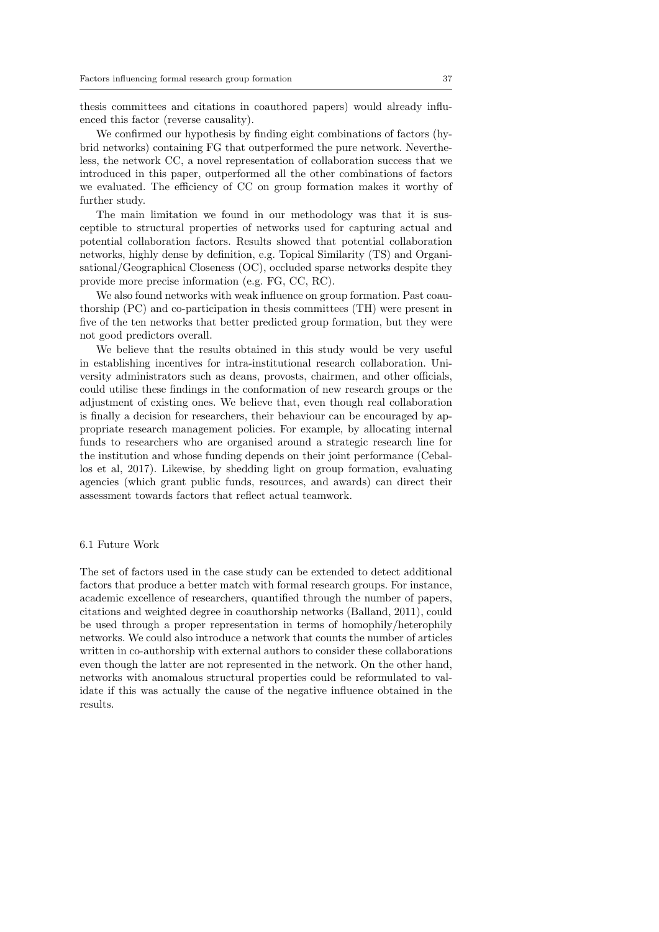thesis committees and citations in coauthored papers) would already influenced this factor (reverse causality).

We confirmed our hypothesis by finding eight combinations of factors (hybrid networks) containing FG that outperformed the pure network. Nevertheless, the network CC, a novel representation of collaboration success that we introduced in this paper, outperformed all the other combinations of factors we evaluated. The efficiency of CC on group formation makes it worthy of further study.

The main limitation we found in our methodology was that it is susceptible to structural properties of networks used for capturing actual and potential collaboration factors. Results showed that potential collaboration networks, highly dense by definition, e.g. Topical Similarity (TS) and Organisational/Geographical Closeness (OC), occluded sparse networks despite they provide more precise information (e.g. FG, CC, RC).

We also found networks with weak influence on group formation. Past coauthorship (PC) and co-participation in thesis committees (TH) were present in five of the ten networks that better predicted group formation, but they were not good predictors overall.

We believe that the results obtained in this study would be very useful in establishing incentives for intra-institutional research collaboration. University administrators such as deans, provosts, chairmen, and other officials, could utilise these findings in the conformation of new research groups or the adjustment of existing ones. We believe that, even though real collaboration is finally a decision for researchers, their behaviour can be encouraged by appropriate research management policies. For example, by allocating internal funds to researchers who are organised around a strategic research line for the institution and whose funding depends on their joint performance (Ceballos et al, 2017). Likewise, by shedding light on group formation, evaluating agencies (which grant public funds, resources, and awards) can direct their assessment towards factors that reflect actual teamwork.

#### 6.1 Future Work

The set of factors used in the case study can be extended to detect additional factors that produce a better match with formal research groups. For instance, academic excellence of researchers, quantified through the number of papers, citations and weighted degree in coauthorship networks (Balland, 2011), could be used through a proper representation in terms of homophily/heterophily networks. We could also introduce a network that counts the number of articles written in co-authorship with external authors to consider these collaborations even though the latter are not represented in the network. On the other hand, networks with anomalous structural properties could be reformulated to validate if this was actually the cause of the negative influence obtained in the results.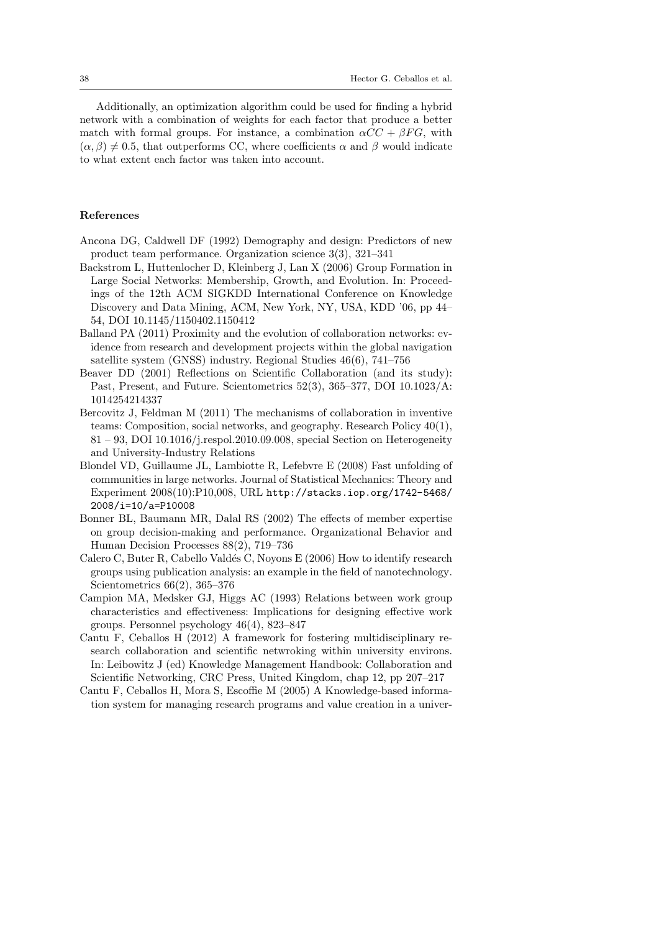Additionally, an optimization algorithm could be used for finding a hybrid network with a combination of weights for each factor that produce a better match with formal groups. For instance, a combination  $\alpha CC + \beta FG$ , with  $(\alpha, \beta) \neq 0.5$ , that outperforms CC, where coefficients  $\alpha$  and  $\beta$  would indicate to what extent each factor was taken into account.

# References

- Ancona DG, Caldwell DF (1992) Demography and design: Predictors of new product team performance. Organization science 3(3), 321–341
- Backstrom L, Huttenlocher D, Kleinberg J, Lan X (2006) Group Formation in Large Social Networks: Membership, Growth, and Evolution. In: Proceedings of the 12th ACM SIGKDD International Conference on Knowledge Discovery and Data Mining, ACM, New York, NY, USA, KDD '06, pp 44– 54, DOI 10.1145/1150402.1150412
- Balland PA (2011) Proximity and the evolution of collaboration networks: evidence from research and development projects within the global navigation satellite system (GNSS) industry. Regional Studies 46(6), 741–756
- Beaver DD (2001) Reflections on Scientific Collaboration (and its study): Past, Present, and Future. Scientometrics 52(3), 365–377, DOI 10.1023/A: 1014254214337
- Bercovitz J, Feldman M (2011) The mechanisms of collaboration in inventive teams: Composition, social networks, and geography. Research Policy 40(1),  $81 - 93$ , DOI 10.1016/j.respol.2010.09.008, special Section on Heterogeneity and University-Industry Relations
- Blondel VD, Guillaume JL, Lambiotte R, Lefebvre E (2008) Fast unfolding of communities in large networks. Journal of Statistical Mechanics: Theory and Experiment 2008(10):P10,008, URL http://stacks.iop.org/1742-5468/ 2008/i=10/a=P10008
- Bonner BL, Baumann MR, Dalal RS (2002) The effects of member expertise on group decision-making and performance. Organizational Behavior and Human Decision Processes 88(2), 719–736
- Calero C, Buter R, Cabello Valdés C, Noyons E (2006) How to identify research groups using publication analysis: an example in the field of nanotechnology. Scientometrics 66(2), 365–376
- Campion MA, Medsker GJ, Higgs AC (1993) Relations between work group characteristics and effectiveness: Implications for designing effective work groups. Personnel psychology 46(4), 823–847
- Cantu F, Ceballos H (2012) A framework for fostering multidisciplinary research collaboration and scientific netwroking within university environs. In: Leibowitz J (ed) Knowledge Management Handbook: Collaboration and Scientific Networking, CRC Press, United Kingdom, chap 12, pp 207–217
- Cantu F, Ceballos H, Mora S, Escoffie M (2005) A Knowledge-based information system for managing research programs and value creation in a univer-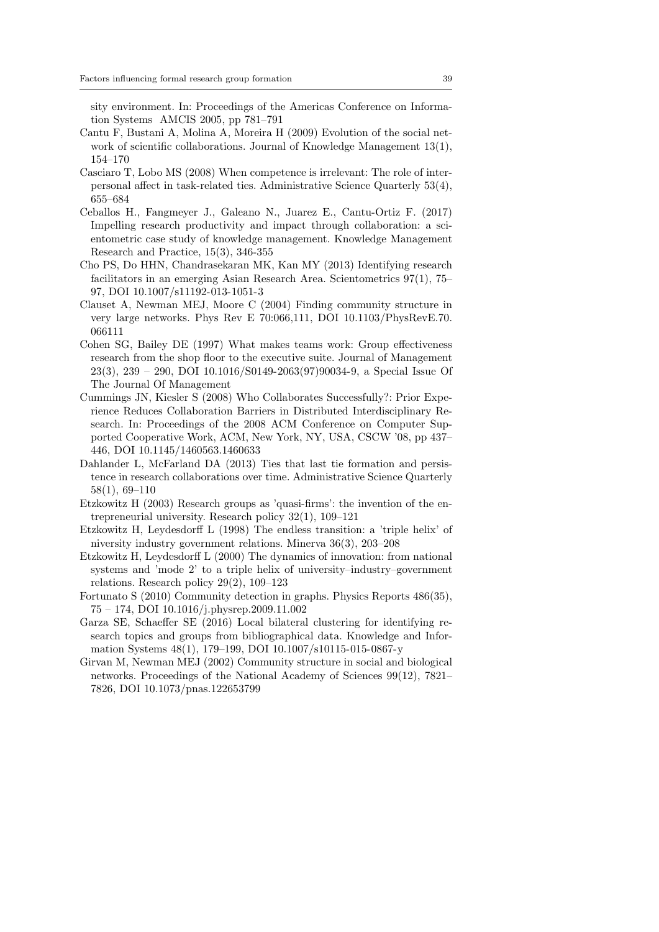sity environment. In: Proceedings of the Americas Conference on Information Systems AMCIS 2005, pp 781–791

- Cantu F, Bustani A, Molina A, Moreira H (2009) Evolution of the social network of scientific collaborations. Journal of Knowledge Management 13(1), 154–170
- Casciaro T, Lobo MS (2008) When competence is irrelevant: The role of interpersonal affect in task-related ties. Administrative Science Quarterly 53(4), 655–684
- Ceballos H., Fangmeyer J., Galeano N., Juarez E., Cantu-Ortiz F. (2017) Impelling research productivity and impact through collaboration: a scientometric case study of knowledge management. Knowledge Management Research and Practice, 15(3), 346-355
- Cho PS, Do HHN, Chandrasekaran MK, Kan MY (2013) Identifying research facilitators in an emerging Asian Research Area. Scientometrics 97(1), 75– 97, DOI 10.1007/s11192-013-1051-3
- Clauset A, Newman MEJ, Moore C (2004) Finding community structure in very large networks. Phys Rev E 70:066,111, DOI 10.1103/PhysRevE.70. 066111
- Cohen SG, Bailey DE (1997) What makes teams work: Group effectiveness research from the shop floor to the executive suite. Journal of Management 23(3), 239 – 290, DOI 10.1016/S0149-2063(97)90034-9, a Special Issue Of The Journal Of Management
- Cummings JN, Kiesler S (2008) Who Collaborates Successfully?: Prior Experience Reduces Collaboration Barriers in Distributed Interdisciplinary Research. In: Proceedings of the 2008 ACM Conference on Computer Supported Cooperative Work, ACM, New York, NY, USA, CSCW '08, pp 437– 446, DOI 10.1145/1460563.1460633
- Dahlander L, McFarland DA (2013) Ties that last tie formation and persistence in research collaborations over time. Administrative Science Quarterly 58(1), 69–110
- Etzkowitz H (2003) Research groups as 'quasi-firms': the invention of the entrepreneurial university. Research policy 32(1), 109–121
- Etzkowitz H, Leydesdorff L (1998) The endless transition: a 'triple helix' of niversity industry government relations. Minerva 36(3), 203–208
- Etzkowitz H, Leydesdorff L (2000) The dynamics of innovation: from national systems and 'mode 2' to a triple helix of university–industry–government relations. Research policy 29(2), 109–123
- Fortunato S (2010) Community detection in graphs. Physics Reports 486(35), 75 – 174, DOI 10.1016/j.physrep.2009.11.002
- Garza SE, Schaeffer SE (2016) Local bilateral clustering for identifying research topics and groups from bibliographical data. Knowledge and Information Systems 48(1), 179–199, DOI 10.1007/s10115-015-0867-y
- Girvan M, Newman MEJ (2002) Community structure in social and biological networks. Proceedings of the National Academy of Sciences 99(12), 7821– 7826, DOI 10.1073/pnas.122653799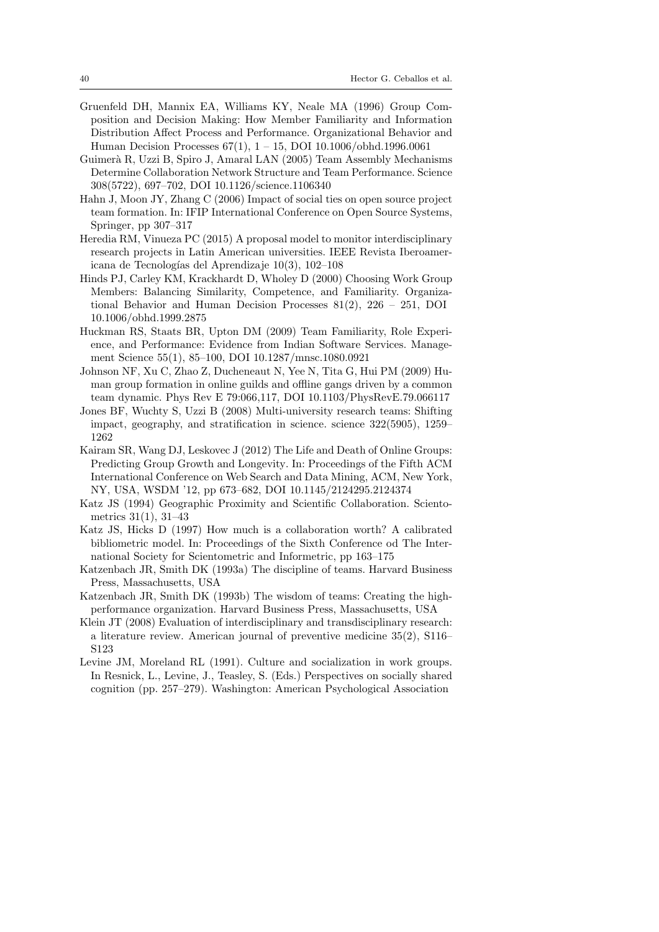- Gruenfeld DH, Mannix EA, Williams KY, Neale MA (1996) Group Composition and Decision Making: How Member Familiarity and Information Distribution Affect Process and Performance. Organizational Behavior and Human Decision Processes 67(1), 1 – 15, DOI 10.1006/obhd.1996.0061
- Guimerà R, Uzzi B, Spiro J, Amaral LAN (2005) Team Assembly Mechanisms Determine Collaboration Network Structure and Team Performance. Science 308(5722), 697–702, DOI 10.1126/science.1106340
- Hahn J, Moon JY, Zhang C (2006) Impact of social ties on open source project team formation. In: IFIP International Conference on Open Source Systems, Springer, pp 307–317
- Heredia RM, Vinueza PC (2015) A proposal model to monitor interdisciplinary research projects in Latin American universities. IEEE Revista Iberoamericana de Tecnologías del Aprendizaje  $10(3)$ ,  $102-108$
- Hinds PJ, Carley KM, Krackhardt D, Wholey D (2000) Choosing Work Group Members: Balancing Similarity, Competence, and Familiarity. Organizational Behavior and Human Decision Processes 81(2), 226 – 251, DOI 10.1006/obhd.1999.2875
- Huckman RS, Staats BR, Upton DM (2009) Team Familiarity, Role Experience, and Performance: Evidence from Indian Software Services. Management Science 55(1), 85–100, DOI 10.1287/mnsc.1080.0921
- Johnson NF, Xu C, Zhao Z, Ducheneaut N, Yee N, Tita G, Hui PM (2009) Human group formation in online guilds and offline gangs driven by a common team dynamic. Phys Rev E 79:066,117, DOI 10.1103/PhysRevE.79.066117
- Jones BF, Wuchty S, Uzzi B (2008) Multi-university research teams: Shifting impact, geography, and stratification in science. science 322(5905), 1259– 1262
- Kairam SR, Wang DJ, Leskovec J (2012) The Life and Death of Online Groups: Predicting Group Growth and Longevity. In: Proceedings of the Fifth ACM International Conference on Web Search and Data Mining, ACM, New York, NY, USA, WSDM '12, pp 673–682, DOI 10.1145/2124295.2124374
- Katz JS (1994) Geographic Proximity and Scientific Collaboration. Scientometrics 31(1), 31–43
- Katz JS, Hicks D (1997) How much is a collaboration worth? A calibrated bibliometric model. In: Proceedings of the Sixth Conference od The International Society for Scientometric and Informetric, pp 163–175
- Katzenbach JR, Smith DK (1993a) The discipline of teams. Harvard Business Press, Massachusetts, USA
- Katzenbach JR, Smith DK (1993b) The wisdom of teams: Creating the highperformance organization. Harvard Business Press, Massachusetts, USA
- Klein JT (2008) Evaluation of interdisciplinary and transdisciplinary research: a literature review. American journal of preventive medicine 35(2), S116– S123
- Levine JM, Moreland RL (1991). Culture and socialization in work groups. In Resnick, L., Levine, J., Teasley, S. (Eds.) Perspectives on socially shared cognition (pp. 257–279). Washington: American Psychological Association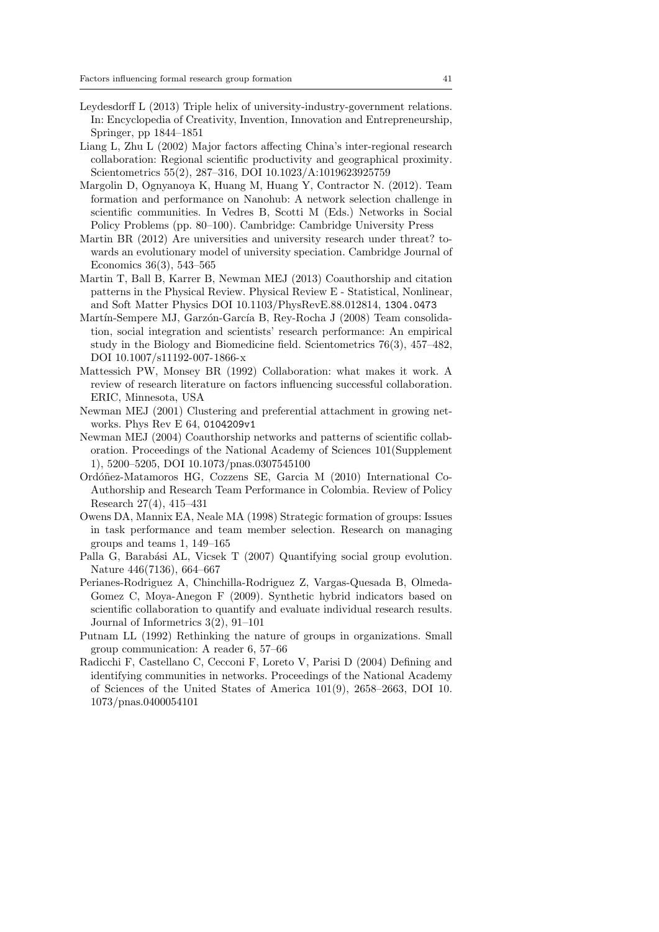- Leydesdorff L (2013) Triple helix of university-industry-government relations. In: Encyclopedia of Creativity, Invention, Innovation and Entrepreneurship, Springer, pp 1844–1851
- Liang L, Zhu L (2002) Major factors affecting China's inter-regional research collaboration: Regional scientific productivity and geographical proximity. Scientometrics 55(2), 287–316, DOI 10.1023/A:1019623925759
- Margolin D, Ognyanoya K, Huang M, Huang Y, Contractor N. (2012). Team formation and performance on Nanohub: A network selection challenge in scientific communities. In Vedres B, Scotti M (Eds.) Networks in Social Policy Problems (pp. 80–100). Cambridge: Cambridge University Press
- Martin BR (2012) Are universities and university research under threat? towards an evolutionary model of university speciation. Cambridge Journal of Economics 36(3), 543–565
- Martin T, Ball B, Karrer B, Newman MEJ (2013) Coauthorship and citation patterns in the Physical Review. Physical Review E - Statistical, Nonlinear, and Soft Matter Physics DOI 10.1103/PhysRevE.88.012814, 1304.0473
- Martín-Sempere MJ, Garzón-García B, Rey-Rocha J (2008) Team consolidation, social integration and scientists' research performance: An empirical study in the Biology and Biomedicine field. Scientometrics 76(3), 457–482, DOI 10.1007/s11192-007-1866-x
- Mattessich PW, Monsey BR (1992) Collaboration: what makes it work. A review of research literature on factors influencing successful collaboration. ERIC, Minnesota, USA
- Newman MEJ (2001) Clustering and preferential attachment in growing networks. Phys Rev E 64, 0104209v1
- Newman MEJ (2004) Coauthorship networks and patterns of scientific collaboration. Proceedings of the National Academy of Sciences 101(Supplement 1), 5200–5205, DOI 10.1073/pnas.0307545100
- Ordóñez-Matamoros HG, Cozzens SE, Garcia M (2010) International Co-Authorship and Research Team Performance in Colombia. Review of Policy Research 27(4), 415–431
- Owens DA, Mannix EA, Neale MA (1998) Strategic formation of groups: Issues in task performance and team member selection. Research on managing groups and teams 1, 149–165
- Palla G, Barabási AL, Vicsek T (2007) Quantifying social group evolution. Nature 446(7136), 664–667
- Perianes-Rodriguez A, Chinchilla-Rodriguez Z, Vargas-Quesada B, Olmeda-Gomez C, Moya-Anegon F (2009). Synthetic hybrid indicators based on scientific collaboration to quantify and evaluate individual research results. Journal of Informetrics 3(2), 91–101
- Putnam LL (1992) Rethinking the nature of groups in organizations. Small group communication: A reader 6, 57–66
- Radicchi F, Castellano C, Cecconi F, Loreto V, Parisi D (2004) Defining and identifying communities in networks. Proceedings of the National Academy of Sciences of the United States of America 101(9), 2658–2663, DOI 10. 1073/pnas.0400054101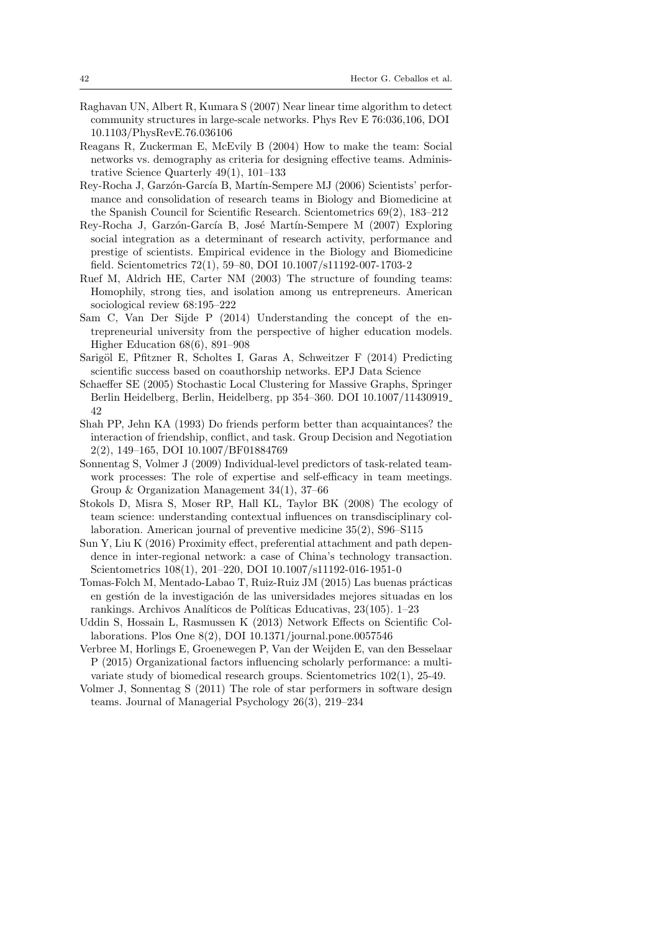- Raghavan UN, Albert R, Kumara S (2007) Near linear time algorithm to detect community structures in large-scale networks. Phys Rev E 76:036,106, DOI 10.1103/PhysRevE.76.036106
- Reagans R, Zuckerman E, McEvily B (2004) How to make the team: Social networks vs. demography as criteria for designing effective teams. Administrative Science Quarterly 49(1), 101–133
- Rey-Rocha J, Garzón-García B, Martín-Sempere MJ (2006) Scientists' performance and consolidation of research teams in Biology and Biomedicine at the Spanish Council for Scientific Research. Scientometrics 69(2), 183–212
- Rey-Rocha J, Garzón-García B, José Martín-Sempere M (2007) Exploring social integration as a determinant of research activity, performance and prestige of scientists. Empirical evidence in the Biology and Biomedicine field. Scientometrics 72(1), 59–80, DOI 10.1007/s11192-007-1703-2
- Ruef M, Aldrich HE, Carter NM (2003) The structure of founding teams: Homophily, strong ties, and isolation among us entrepreneurs. American sociological review 68:195–222
- Sam C, Van Der Sijde P (2014) Understanding the concept of the entrepreneurial university from the perspective of higher education models. Higher Education 68(6), 891–908
- Sarigöl E, Pfitzner R, Scholtes I, Garas A, Schweitzer F (2014) Predicting scientific success based on coauthorship networks. EPJ Data Science
- Schaeffer SE (2005) Stochastic Local Clustering for Massive Graphs, Springer Berlin Heidelberg, Berlin, Heidelberg, pp 354–360. DOI 10.1007/11430919 42
- Shah PP, Jehn KA (1993) Do friends perform better than acquaintances? the interaction of friendship, conflict, and task. Group Decision and Negotiation 2(2), 149–165, DOI 10.1007/BF01884769
- Sonnentag S, Volmer J (2009) Individual-level predictors of task-related teamwork processes: The role of expertise and self-efficacy in team meetings. Group & Organization Management 34(1), 37–66
- Stokols D, Misra S, Moser RP, Hall KL, Taylor BK (2008) The ecology of team science: understanding contextual influences on transdisciplinary collaboration. American journal of preventive medicine 35(2), S96–S115
- Sun Y, Liu K (2016) Proximity effect, preferential attachment and path dependence in inter-regional network: a case of China's technology transaction. Scientometrics 108(1), 201–220, DOI 10.1007/s11192-016-1951-0
- Tomas-Folch M, Mentado-Labao T, Ruiz-Ruiz JM (2015) Las buenas prácticas en gestión de la investigación de las universidades mejores situadas en los rankings. Archivos Analíticos de Políticas Educativas, 23(105). 1–23
- Uddin S, Hossain L, Rasmussen K (2013) Network Effects on Scientific Collaborations. Plos One 8(2), DOI 10.1371/journal.pone.0057546
- Verbree M, Horlings E, Groenewegen P, Van der Weijden E, van den Besselaar P (2015) Organizational factors influencing scholarly performance: a multivariate study of biomedical research groups. Scientometrics 102(1), 25-49.
- Volmer J, Sonnentag S (2011) The role of star performers in software design teams. Journal of Managerial Psychology 26(3), 219–234